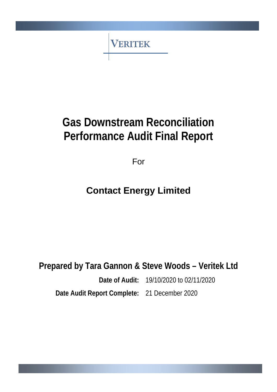**VERITEK** 

# **Gas Downstream Reconciliation Performance Audit Final Report**

For

# **Contact Energy Limited**

**Prepared by Tara Gannon & Steve Woods – Veritek Ltd**

**Date of Audit:** 19/10/2020 to 02/11/2020

**Date Audit Report Complete:** 21 December 2020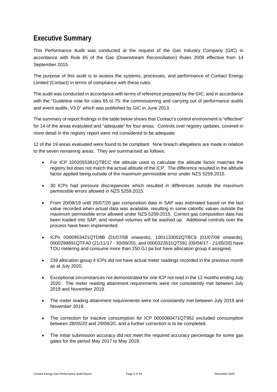## <span id="page-1-0"></span>**Executive Summary**

This Performance Audit was conducted at the request of the Gas Industry Company (GIC) in accordance with Rule 65 of the Gas (Downstream Reconciliation) Rules 2008 effective from 14 September 2015.

The purpose of this audit is to assess the systems, processes, and performance of Contact Energy Limited (Contact) in terms of compliance with these rules.

The audit was conducted in accordance with terms of reference prepared by the GIC, and in accordance with the "Guideline note for rules 65 to 75: the commissioning and carrying out of performance audits and event audits, V3.0" which was published by GIC in June 2013.

The summary of report findings in the table below shows that Contact's control environment is "effective" for 14 of the areas evaluated and "adequate" for four areas. Controls over registry updates, covered in more detail in the registry report were not considered to be adequate.

12 of the 19 areas evaluated were found to be compliant. Nine breach allegations are made in relation to the seven remaining areas. They are summarised as follows:

- For ICP 1002055361QTBCC the altitude used to calculate the altitude factor matches the registry but does not match the actual altitude of the ICP. The difference resulted in the altitude factor applied being outside of the maximum permissible error under NZS 5259:2015.
- 30 ICPs had pressure discrepancies which resulted in differences outside the maximum permissible errors allowed in NZS 5259:2015.
- From 20/08/19 until 26/07/20 gas composition data in SAP was estimated based on the last value recorded when actual data was available, resulting in some calorific values outside the maximum permissible error allowed under NZS 5259:2015. Correct gas composition data has been loaded into SAP, and revised volumes will be washed up. Additional controls over the process have been implemented.
- ICPs 0000953421QTD8B (01/07/08 onwards), 1001133052QTBC8 (01/07/08 onwards), 0000298891QTFA0 (21/11/17 - 30/09/20), and 0000322631QT591 (05/04/17 - 21/05/20) have TOU metering and consume more than 250 GJ pa but have allocation group 4 assigned.
- 239 allocation group 4 ICPs did not have actual meter readings recorded in the previous month as at July 2020.
- Exceptional circumstances not demonstrated for one ICP not read in the 12 months ending July 2020. The meter reading attainment requirements were not consistently met between July 2019 and November 2019.
- The meter reading attainment requirements were not consistently met between July 2019 and November 2019.
- The correction for inactive consumption for ICP 0000060471QT952 excluded consumption between 28/05/20 and 29/06/20, and a further correction is to be completed.
- The initial submission accuracy did not meet the required accuracy percentage for some gas gates for the period May 2017 to May 2019.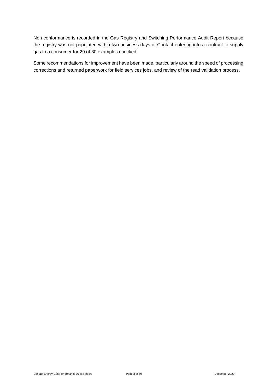Non conformance is recorded in the Gas Registry and Switching Performance Audit Report because the registry was not populated within two business days of Contact entering into a contract to supply gas to a consumer for 29 of 30 examples checked.

Some recommendations for improvement have been made, particularly around the speed of processing corrections and returned paperwork for field services jobs, and review of the read validation process.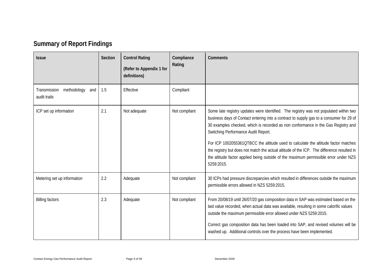# **Summary of Report Findings**

<span id="page-3-0"></span>

| <b>Issue</b>                                       | Section | <b>Control Rating</b><br>(Refer to Appendix 1 for<br>definitions) | Compliance<br>Rating | Comments                                                                                                                                                                                                                                                                                                                                                                                                                                                                                                                                                                                               |
|----------------------------------------------------|---------|-------------------------------------------------------------------|----------------------|--------------------------------------------------------------------------------------------------------------------------------------------------------------------------------------------------------------------------------------------------------------------------------------------------------------------------------------------------------------------------------------------------------------------------------------------------------------------------------------------------------------------------------------------------------------------------------------------------------|
| methodology<br>Transmission<br>and<br>audit trails | 1.5     | Effective                                                         | Compliant            |                                                                                                                                                                                                                                                                                                                                                                                                                                                                                                                                                                                                        |
| ICP set up information                             | 2.1     | Not adequate                                                      | Not compliant        | Some late registry updates were identified. The registry was not populated within two<br>business days of Contact entering into a contract to supply gas to a consumer for 29 of<br>30 examples checked, which is recorded as non conformance in the Gas Registry and<br>Switching Performance Audit Report.<br>For ICP 1002055361QTBCC the altitude used to calculate the altitude factor matches<br>the registry but does not match the actual altitude of the ICP. The difference resulted in<br>the altitude factor applied being outside of the maximum permissible error under NZS<br>5259:2015. |
| Metering set up information                        | 2.2     | Adequate                                                          | Not compliant        | 30 ICPs had pressure discrepancies which resulted in differences outside the maximum<br>permissible errors allowed in NZS 5259:2015.                                                                                                                                                                                                                                                                                                                                                                                                                                                                   |
| <b>Billing factors</b>                             | 2.3     | Adequate                                                          | Not compliant        | From 20/08/19 until 26/07/20 gas composition data in SAP was estimated based on the<br>last value recorded, when actual data was available, resulting in some calorific values<br>outside the maximum permissible error allowed under NZS 5259:2015.<br>Correct gas composition data has been loaded into SAP, and revised volumes will be<br>washed up. Additional controls over the process have been implemented.                                                                                                                                                                                   |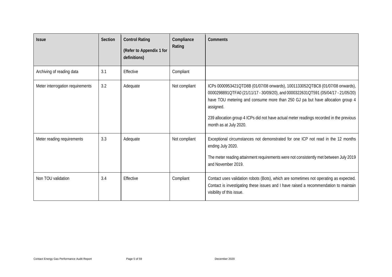| <b>Issue</b>                     | Section | <b>Control Rating</b><br>(Refer to Appendix 1 for<br>definitions) | Compliance<br>Rating | <b>Comments</b>                                                                                                                                                                                                                                                                                                                                                                     |
|----------------------------------|---------|-------------------------------------------------------------------|----------------------|-------------------------------------------------------------------------------------------------------------------------------------------------------------------------------------------------------------------------------------------------------------------------------------------------------------------------------------------------------------------------------------|
| Archiving of reading data        | 3.1     | Effective                                                         | Compliant            |                                                                                                                                                                                                                                                                                                                                                                                     |
| Meter interrogation requirements | 3.2     | Adequate                                                          | Not compliant        | ICPs 0000953421QTD8B (01/07/08 onwards), 1001133052QTBC8 (01/07/08 onwards),<br>0000298891QTFA0 (21/11/17 - 30/09/20), and 0000322631QT591 (05/04/17 - 21/05/20)<br>have TOU metering and consume more than 250 GJ pa but have allocation group 4<br>assigned.<br>239 allocation group 4 ICPs did not have actual meter readings recorded in the previous<br>month as at July 2020. |
| Meter reading requirements       | 3.3     | Adequate                                                          | Not compliant        | Exceptional circumstances not demonstrated for one ICP not read in the 12 months<br>ending July 2020.<br>The meter reading attainment requirements were not consistently met between July 2019<br>and November 2019.                                                                                                                                                                |
| Non TOU validation               | 3.4     | Effective                                                         | Compliant            | Contact uses validation robots (Bots), which are sometimes not operating as expected.<br>Contact is investigating these issues and I have raised a recommendation to maintain<br>visibility of this issue.                                                                                                                                                                          |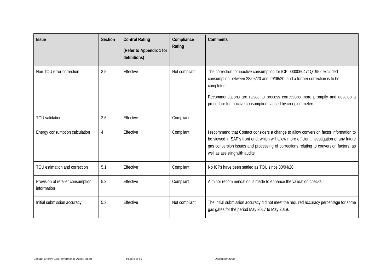| <b>Issue</b>                                     | <b>Section</b> | <b>Control Rating</b><br>(Refer to Appendix 1 for<br>definitions) | Compliance<br>Rating | Comments                                                                                                                                                                                                                                                                                                                 |
|--------------------------------------------------|----------------|-------------------------------------------------------------------|----------------------|--------------------------------------------------------------------------------------------------------------------------------------------------------------------------------------------------------------------------------------------------------------------------------------------------------------------------|
| Non TOU error correction                         | 3.5            | Effective                                                         | Not compliant        | The correction for inactive consumption for ICP 0000060471QT952 excluded<br>consumption between 28/05/20 and 29/06/20, and a further correction is to be<br>completed.<br>Recommendations are raised to process corrections more promptly and develop a<br>procedure for inactive consumption caused by creeping meters. |
| <b>TOU</b> validation                            | 3.6            | Effective                                                         | Compliant            |                                                                                                                                                                                                                                                                                                                          |
| Energy consumption calculation                   | 4              | Effective                                                         | Compliant            | I recommend that Contact considers a change to allow conversion factor information to<br>be viewed in SAP's front end, which will allow more efficient investigation of any future<br>gas conversion issues and processing of corrections relating to conversion factors, as<br>well as assisting with audits.           |
| TOU estimation and correction                    | 5.1            | Effective                                                         | Compliant            | No ICPs have been settled as TOU since 30/04/20.                                                                                                                                                                                                                                                                         |
| Provision of retailer consumption<br>information | 5.2            | Effective                                                         | Compliant            | A minor recommendation is made to enhance the validation checks.                                                                                                                                                                                                                                                         |
| Initial submission accuracy                      | 5.3            | Effective                                                         | Not compliant        | The initial submission accuracy did not meet the required accuracy percentage for some<br>gas gates for the period May 2017 to May 2019.                                                                                                                                                                                 |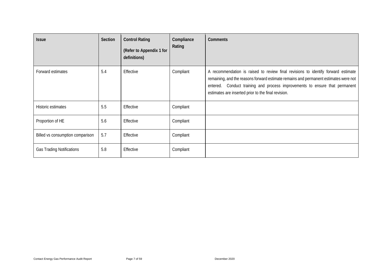| <b>Issue</b>                     | Section | <b>Control Rating</b><br>(Refer to Appendix 1 for<br>definitions) | Compliance<br>Rating | <b>Comments</b>                                                                                                                                                                                                                                                                                                 |
|----------------------------------|---------|-------------------------------------------------------------------|----------------------|-----------------------------------------------------------------------------------------------------------------------------------------------------------------------------------------------------------------------------------------------------------------------------------------------------------------|
| Forward estimates                | 5.4     | Effective                                                         | Compliant            | A recommendation is raised to review final revisions to identify forward estimate<br>remaining, and the reasons forward estimate remains and permanent estimates were not<br>entered. Conduct training and process improvements to ensure that permanent<br>estimates are inserted prior to the final revision. |
| Historic estimates               | 5.5     | Effective                                                         | Compliant            |                                                                                                                                                                                                                                                                                                                 |
| Proportion of HE                 | 5.6     | Effective                                                         | Compliant            |                                                                                                                                                                                                                                                                                                                 |
| Billed vs consumption comparison | 5.7     | Effective                                                         | Compliant            |                                                                                                                                                                                                                                                                                                                 |
| <b>Gas Trading Notifications</b> | 5.8     | Effective                                                         | Compliant            |                                                                                                                                                                                                                                                                                                                 |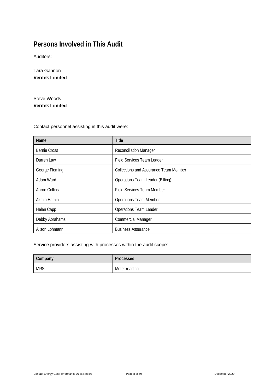# <span id="page-7-0"></span>**Persons Involved in This Audit**

Auditors:

Tara Gannon **Veritek Limited**

Steve Woods **Veritek Limited**

Contact personnel assisting in this audit were:

| Name                | <b>Title</b>                          |
|---------------------|---------------------------------------|
| <b>Bernie Cross</b> | <b>Reconciliation Manager</b>         |
| Darren Law          | <b>Field Services Team Leader</b>     |
| George Fleming      | Collections and Assurance Team Member |
| Adam Ward           | Operations Team Leader (Billing)      |
| Aaron Collins       | <b>Field Services Team Member</b>     |
| Azmin Hamin         | <b>Operations Team Member</b>         |
| Helen Capp          | <b>Operations Team Leader</b>         |
| Debby Abrahams      | <b>Commercial Manager</b>             |
| Alison Lohmann      | <b>Business Assurance</b>             |

#### Service providers assisting with processes within the audit scope:

| Company    | <b>Processes</b> |
|------------|------------------|
| <b>MRS</b> | Meter reading    |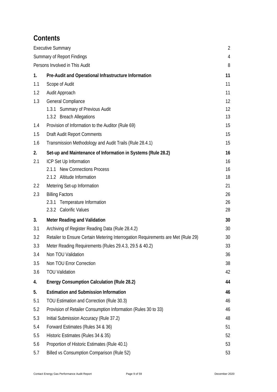# **Contents**

|     | <b>Executive Summary</b>                                                         | $\overline{2}$ |
|-----|----------------------------------------------------------------------------------|----------------|
|     | <b>Summary of Report Findings</b>                                                | 4              |
|     | Persons Involved in This Audit                                                   | 8              |
| 1.  | Pre-Audit and Operational Infrastructure Information                             | 11             |
| 1.1 | Scope of Audit                                                                   | 11             |
| 1.2 | Audit Approach                                                                   | 11             |
| 1.3 | General Compliance                                                               | 12             |
|     | 1.3.1 Summary of Previous Audit                                                  | 12             |
|     | 1.3.2 Breach Allegations                                                         | 13             |
| 1.4 | Provision of Information to the Auditor (Rule 69)                                | 15             |
| 1.5 | <b>Draft Audit Report Comments</b>                                               | 15             |
| 1.6 | Transmission Methodology and Audit Trails (Rule 28.4.1)                          | 15             |
| 2.  | Set-up and Maintenance of Information in Systems (Rule 28.2)                     | 16             |
| 2.1 | ICP Set Up Information                                                           | 16             |
|     | 2.1.1 New Connections Process                                                    | 16             |
|     | 2.1.2 Altitude Information                                                       | 18             |
| 2.2 | Metering Set-up Information                                                      | 21             |
| 2.3 | <b>Billing Factors</b>                                                           | 26             |
|     | 2.3.1 Temperature Information                                                    | 26             |
|     | 2.3.2 Calorific Values                                                           | 28             |
| 3.  | Meter Reading and Validation                                                     | 30             |
| 3.1 | Archiving of Register Reading Data (Rule 28.4.2)                                 | 30             |
| 3.2 | Retailer to Ensure Certain Metering Interrogation Requirements are Met (Rule 29) | 30             |
| 3.3 | Meter Reading Requirements (Rules 29.4.3, 29.5 & 40.2)                           | 33             |
| 3.4 | Non TOU Validation                                                               | 36             |
| 3.5 | Non TOU Error Correction                                                         | 38             |
| 3.6 | <b>TOU Validation</b>                                                            | 42             |
| 4.  | <b>Energy Consumption Calculation (Rule 28.2)</b>                                | 44             |
| 5.  | <b>Estimation and Submission Information</b>                                     | 46             |
| 5.1 | TOU Estimation and Correction (Rule 30.3)                                        | 46             |
| 5.2 | Provision of Retailer Consumption Information (Rules 30 to 33)                   | 46             |
| 5.3 | Initial Submission Accuracy (Rule 37.2)                                          | 48             |
| 5.4 | Forward Estimates (Rules 34 & 36)                                                | 51             |
| 5.5 | Historic Estimates (Rules 34 & 35)                                               | 52             |
| 5.6 | Proportion of Historic Estimates (Rule 40.1)                                     | 53             |
| 5.7 | Billed vs Consumption Comparison (Rule 52)                                       | 53             |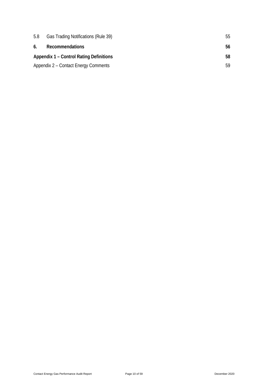| 5.8 | Gas Trading Notifications (Rule 39)            | 55 |
|-----|------------------------------------------------|----|
| 6.  | Recommendations                                | 56 |
|     | <b>Appendix 1 – Control Rating Definitions</b> | 58 |
|     | Appendix 2 – Contact Energy Comments           | 59 |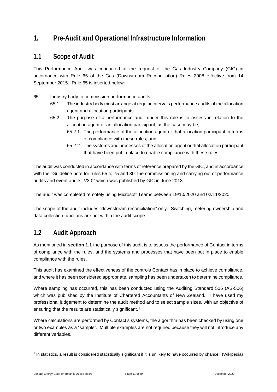# <span id="page-10-0"></span>**1. Pre-Audit and Operational Infrastructure Information**

#### <span id="page-10-1"></span>**1.1 Scope of Audit**

This Performance Audit was conducted at the request of the Gas Industry Company (GIC) in accordance with Rule 65 of the Gas (Downstream Reconciliation) Rules 2008 effective from 14 September 2015. Rule 65 is inserted below:

- 65. Industry body to commission performance audits
	- 65.1 The industry body must arrange at regular intervals performance audits of the allocation agent and allocation participants.
	- 65.2 The purpose of a performance audit under this rule is to assess in relation to the allocation agent or an allocation participant, as the case may be, -
		- 65.2.1 The performance of the allocation agent or that allocation participant in terms of compliance with these rules; and
		- 65.2.2 The systems and processes of the allocation agent or that allocation participant that have been put in place to enable compliance with these rules.

The audit was conducted in accordance with terms of reference prepared by the GIC, and in accordance with the "Guideline note for rules 65 to 75 and 80: the commissioning and carrying out of performance audits and event audits, V3.0" which was published by GIC in June 2013.

The audit was completed remotely using Microsoft Teams between 19/10/2020 and 02/11/2020.

The scope of the audit includes "downstream reconciliation" only. Switching, metering ownership and data collection functions are not within the audit scope.

### <span id="page-10-2"></span>**1.2 Audit Approach**

As mentioned in **section 1.1** the purpose of this audit is to assess the performance of Contact in terms of compliance with the rules, and the systems and processes that have been put in place to enable compliance with the rules.

This audit has examined the effectiveness of the controls Contact has in place to achieve compliance, and where it has been considered appropriate, sampling has been undertaken to determine compliance.

Where sampling has occurred, this has been conducted using the Auditing Standard 506 (AS-506) which was published by the Institute of Chartered Accountants of New Zealand. I have used my professional judgement to determine the audit method and to select sample sizes, with an objective of ensuring that the results are statistically significant.<sup>[1](#page-10-3)</sup>

Where calculations are performed by Contact's systems, the algorithm has been checked by using one or two examples as a "sample". Multiple examples are not required because they will not introduce any different variables.

<span id="page-10-3"></span><sup>1</sup> In statistics, a result is considered statistically significant if it is unlikely to have occurred by chance. (Wikipedia)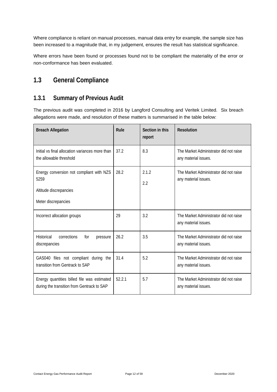Where compliance is reliant on manual processes, manual data entry for example, the sample size has been increased to a magnitude that, in my judgement, ensures the result has statistical significance.

Where errors have been found or processes found not to be compliant the materiality of the error or non-conformance has been evaluated.

# <span id="page-11-0"></span>**1.3 General Compliance**

#### <span id="page-11-1"></span>**1.3.1 Summary of Previous Audit**

The previous audit was completed in 2016 by Langford Consulting and Veritek Limited. Six breach allegations were made, and resolution of these matters is summarised in the table below:

| <b>Breach Allegation</b>                                                                          | Rule   | Section in this<br>report | <b>Resolution</b>                                              |
|---------------------------------------------------------------------------------------------------|--------|---------------------------|----------------------------------------------------------------|
| Initial vs final allocation variances more than<br>the allowable threshold                        | 37.2   | 8.3                       | The Market Administrator did not raise<br>any material issues. |
| Energy conversion not compliant with NZS<br>5259<br>Altitude discrepancies<br>Meter discrepancies | 28.2   | 2.1.2<br>2.2              | The Market Administrator did not raise<br>any material issues. |
| Incorrect allocation groups                                                                       | 29     | 3.2                       | The Market Administrator did not raise<br>any material issues. |
| corrections<br>Historical<br>for<br>pressure<br>discrepancies                                     | 26.2   | 3.5                       | The Market Administrator did not raise<br>any material issues. |
| GAS040 files not compliant during the<br>transition from Gentrack to SAP                          | 31.4   | 5.2                       | The Market Administrator did not raise<br>any material issues. |
| Energy quantities billed file was estimated<br>during the transition from Gentrack to SAP         | 52.2.1 | 5.7                       | The Market Administrator did not raise<br>any material issues. |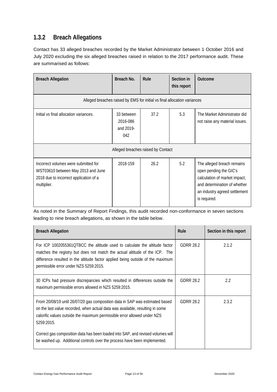### <span id="page-12-0"></span>**1.3.2 Breach Allegations**

Contact has 33 alleged breaches recorded by the Market Administrator between 1 October 2016 and July 2020 excluding the six alleged breaches raised in relation to the 2017 performance audit. These are summarised as follows:

| <b>Breach Allegation</b>                                                                                                            | Breach No.                                 | Rule                               | Section in<br>this report | Outcome                                                                                                                                                                |
|-------------------------------------------------------------------------------------------------------------------------------------|--------------------------------------------|------------------------------------|---------------------------|------------------------------------------------------------------------------------------------------------------------------------------------------------------------|
| Alleged breaches raised by EMS for initial vs final allocation variances                                                            |                                            |                                    |                           |                                                                                                                                                                        |
| Initial vs final allocation variances.                                                                                              | 33 between<br>2016-086<br>and 2019-<br>042 | 37.2                               | 5.3                       | The Market Administrator did<br>not raise any material issues.                                                                                                         |
|                                                                                                                                     |                                            | Alleged breaches raised by Contact |                           |                                                                                                                                                                        |
| Incorrect volumes were submitted for<br>WST03610 between May 2013 and June<br>2018 due to incorrect application of a<br>multiplier. | 2018-159                                   | 26.2                               | 5.2                       | The alleged breach remains<br>open pending the GIC's<br>calculation of market impact,<br>and determination of whether<br>an industry agreed settlement<br>is required. |

As noted in the Summary of Report Findings, this audit recorded non-conformance in seven sections leading to nine breach allegations, as shown in the table below.

| <b>Breach Allegation</b>                                                                                                                                                                                                                                                               | Rule             | Section in this report |
|----------------------------------------------------------------------------------------------------------------------------------------------------------------------------------------------------------------------------------------------------------------------------------------|------------------|------------------------|
| For ICP 1002055361QTBCC the altitude used to calculate the altitude factor<br>matches the registry but does not match the actual altitude of the ICP. The<br>difference resulted in the altitude factor applied being outside of the maximum<br>permissible error under NZS 5259:2015. | <b>GDRR 28.2</b> | 2.1.2                  |
| 30 ICPs had pressure discrepancies which resulted in differences outside the<br>maximum permissible errors allowed in NZS 5259:2015.                                                                                                                                                   | GDRR 28.2        | 2.2                    |
| From 20/08/19 until 26/07/20 gas composition data in SAP was estimated based<br>on the last value recorded, when actual data was available, resulting in some<br>calorific values outside the maximum permissible error allowed under NZS<br>5259:2015.                                | <b>GDRR 28.2</b> | 2.3.2                  |
| Correct gas composition data has been loaded into SAP, and revised volumes will<br>be washed up. Additional controls over the process have been implemented.                                                                                                                           |                  |                        |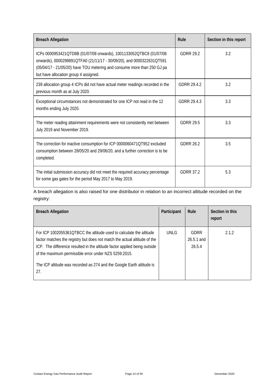| <b>Breach Allegation</b>                                                                                                                                                                                                                                       | Rule             | Section in this report |
|----------------------------------------------------------------------------------------------------------------------------------------------------------------------------------------------------------------------------------------------------------------|------------------|------------------------|
| ICPs 0000953421QTD8B (01/07/08 onwards), 1001133052QTBC8 (01/07/08<br>onwards), 0000298891QTFA0 (21/11/17 - 30/09/20), and 0000322631QT591<br>(05/04/17 - 21/05/20) have TOU metering and consume more than 250 GJ pa<br>but have allocation group 4 assigned. | <b>GDRR 29.2</b> | 3.2                    |
| 239 allocation group 4 ICPs did not have actual meter readings recorded in the<br>previous month as at July 2020.                                                                                                                                              | GDRR 29.4.2      | 3.2                    |
| Exceptional circumstances not demonstrated for one ICP not read in the 12<br>months ending July 2020.                                                                                                                                                          | GDRR 29.4.3      | 3.3                    |
| The meter reading attainment requirements were not consistently met between<br>July 2019 and November 2019.                                                                                                                                                    | <b>GDRR 29.5</b> | 3.3                    |
| The correction for inactive consumption for ICP 0000060471QT952 excluded<br>consumption between 28/05/20 and 29/06/20, and a further correction is to be<br>completed.                                                                                         | GDRR 26.2        | 3.5                    |
| The initial submission accuracy did not meet the required accuracy percentage<br>for some gas gates for the period May 2017 to May 2019.                                                                                                                       | <b>GDRR 37.2</b> | 5.3                    |

A breach allegation is also raised for one distributor in relation to an incorrect altitude recorded on the registry:

| <b>Breach Allegation</b>                                                                                                                                                                                                                                                                                                                                               | Participant | Rule                         | Section in this<br>report |
|------------------------------------------------------------------------------------------------------------------------------------------------------------------------------------------------------------------------------------------------------------------------------------------------------------------------------------------------------------------------|-------------|------------------------------|---------------------------|
| For ICP 1002055361QTBCC the altitude used to calculate the altitude<br>factor matches the registry but does not match the actual altitude of the<br>ICP. The difference resulted in the altitude factor applied being outside<br>of the maximum permissible error under NZS 5259:2015.<br>The ICP altitude was recorded as 274 and the Google Earth altitude is<br>27. | UNLG        | GDRR<br>26.5.1 and<br>26.5.4 | 2.1.2                     |

i,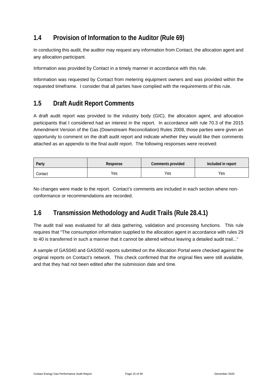## <span id="page-14-0"></span>**1.4 Provision of Information to the Auditor (Rule 69)**

In conducting this audit, the auditor may request any information from Contact, the allocation agent and any allocation participant.

Information was provided by Contact in a timely manner in accordance with this rule.

Information was requested by Contact from metering equipment owners and was provided within the requested timeframe. I consider that all parties have complied with the requirements of this rule.

### <span id="page-14-1"></span>**1.5 Draft Audit Report Comments**

A draft audit report was provided to the industry body (GIC), the allocation agent, and allocation participants that I considered had an interest in the report. In accordance with rule 70.3 of the 2015 Amendment Version of the Gas (Downstream Reconciliation) Rules 2008, those parties were given an opportunity to comment on the draft audit report and indicate whether they would like their comments attached as an appendix to the final audit report. The following responses were received:

| Party   | Response | Comments provided | Included in report |  |
|---------|----------|-------------------|--------------------|--|
| Contact | Yes      | Yes               | Yes                |  |

No changes were made to the report. Contact's comments are included in each section where nonconformance or recommendations are recorded.

### <span id="page-14-2"></span>**1.6 Transmission Methodology and Audit Trails (Rule 28.4.1)**

The audit trail was evaluated for all data gathering, validation and processing functions. This rule requires that "The consumption information supplied to the allocation agent in accordance with rules 29 to 40 is transferred in such a manner that it cannot be altered without leaving a detailed audit trail..."

A sample of GAS040 and GAS050 reports submitted on the Allocation Portal were checked against the original reports on Contact's network. This check confirmed that the original files were still available, and that they had not been edited after the submission date and time.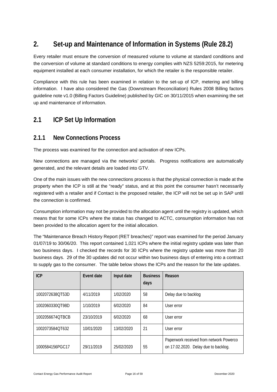# <span id="page-15-0"></span>**2. Set-up and Maintenance of Information in Systems (Rule 28.2)**

Every retailer must ensure the conversion of measured volume to volume at standard conditions and the conversion of volume at standard conditions to energy complies with NZS 5259:2015, for metering equipment installed at each consumer installation, for which the retailer is the responsible retailer.

Compliance with this rule has been examined in relation to the set-up of ICP, metering and billing information. I have also considered the Gas (Downstream Reconciliation) Rules 2008 Billing factors guideline note v1.0 (Billing Factors Guideline) published by GIC on 30/11/2015 when examining the set up and maintenance of information.

### <span id="page-15-1"></span>**2.1 ICP Set Up Information**

#### <span id="page-15-2"></span>**2.1.1 New Connections Process**

The process was examined for the connection and activation of new ICPs.

New connections are managed via the networks' portals. Progress notifications are automatically generated, and the relevant details are loaded into GTV.

One of the main issues with the new connections process is that the physical connection is made at the property when the ICP is still at the "ready" status, and at this point the consumer hasn't necessarily registered with a retailer and if Contact is the proposed retailer, the ICP will not be set up in SAP until the connection is confirmed.

Consumption information may not be provided to the allocation agent until the registry is updated, which means that for some ICPs where the status has changed to ACTC, consumption information has not been provided to the allocation agent for the initial allocation.

The "Maintenance Breach History Report (RET breaches)" report was examined for the period January 01/07/19 to 30/06/20. This report contained 1,021 ICPs where the initial registry update was later than two business days. I checked the records for 30 ICPs where the registry update was more than 20 business days. 29 of the 30 updates did not occur within two business days of entering into a contract to supply gas to the consumer. The table below shows the ICPs and the reason for the late updates.

| <b>ICP</b>      | Event date | Input date | <b>Business</b><br>days | Reason                                                                          |
|-----------------|------------|------------|-------------------------|---------------------------------------------------------------------------------|
| 1002072638OT53D | 4/11/2019  | 1/02/2020  | 58                      | Delay due to backlog                                                            |
| 1002060330OT98D | 1/10/2019  | 6/02/2020  | 84                      | User error                                                                      |
| 1002056674OTBCB | 23/10/2019 | 6/02/2020  | 68                      | User error                                                                      |
| 1002073584OT632 | 10/01/2020 | 13/02/2020 | 21                      | User error                                                                      |
| 1000584156PGC17 | 29/11/2019 | 25/02/2020 | 55                      | Paperwork received from network Powerco<br>on 17.02.2020. Delay due to backlog. |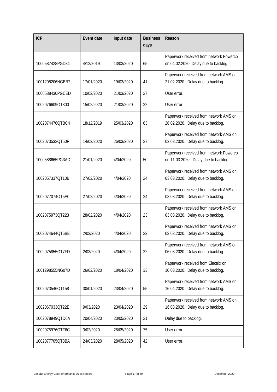| <b>ICP</b>      | <b>Event date</b> | Input date | <b>Business</b><br>days | Reason                                                                          |
|-----------------|-------------------|------------|-------------------------|---------------------------------------------------------------------------------|
| 1000587428PGD34 | 4/12/2019         | 13/03/2020 | 65                      | Paperwork received from network Powerco<br>on 04.02.2020. Delay due to backlog. |
| 1001298206NGBB7 | 17/01/2020        | 19/03/2020 | 41                      | Paperwork received from network AMS on<br>21.02.2020. Delay due to backlog.     |
| 1000588430PGCED | 10/02/2020        | 21/03/2020 | 27                      | User error.                                                                     |
| 1002076609QT800 | 15/02/2020        | 21/03/2020 | 22                      | User error.                                                                     |
| 1002074476QTBC4 | 18/12/2019        | 25/03/2020 | 63                      | Paperwork received from network AMS on<br>26.02.2020. Delay due to backlog.     |
| 1002073532QT50F | 14/02/2020        | 26/03/2020 | 27                      | Paperwork received from network AMS on<br>02.03.2020. Delay due to backlog.     |
| 1000588665PG3AD | 21/01/2020        | 4/04/2020  | 50                      | Paperwork received from network Powerco<br>on 11.03.2020. Delay due to backlog. |
| 1002057337QT10B | 27/02/2020        | 4/04/2020  | 24                      | Paperwork received from network AMS on<br>03.03.2020. Delay due to backlog.     |
| 1002077074QT5A0 | 27/02/2020        | 4/04/2020  | 24                      | Paperwork received from network AMS on<br>03.03.2020. Delay due to backlog.     |
| 1002075973QT223 | 28/02/2020        | 4/04/2020  | 23                      | Paperwork received from network AMS on<br>03.03.2020. Delay due to backlog.     |
| 1002074644QT6BE | 2/03/2020         | 4/04/2020  | 22                      | Paperwork received from network AMS on<br>03.03.2020. Delay due to backlog.     |
| 1002075855QT7FD | 2/03/2020         | 4/04/2020  | 22                      | Paperwork received from network AMS on<br>06.03.2020. Delay due to backlog.     |
| 1001298555NG07D | 26/02/2020        | 18/04/2020 | 33                      | Paperwork received from Electrix on<br>10.03.2020. Delay due to backlog.        |
| 1002073546QT158 | 30/01/2020        | 23/04/2020 | 55                      | Paperwork received from network AMS on<br>16.04.2020. Delay due to backlog.     |
| 1002067033QT22E | 9/03/2020         | 23/04/2020 | 29                      | Paperwork received from network AMS on<br>16.03.2020. Delay due to backlog.     |
| 1002078949QTD6A | 20/04/2020        | 23/05/2020 | 21                      | Delay due to backlog.                                                           |
| 1002075976QTF6C | 3/02/2020         | 26/05/2020 | 75                      | User error.                                                                     |
| 1002077705QT3BA | 24/03/2020        | 28/05/2020 | 42                      | User error.                                                                     |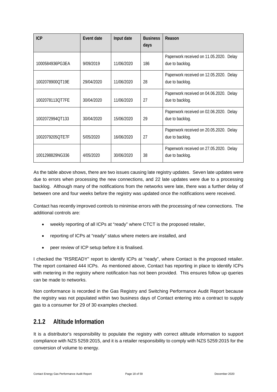| <b>ICP</b>      | Event date | Input date | <b>Business</b><br>days | Reason                                                     |
|-----------------|------------|------------|-------------------------|------------------------------------------------------------|
| 1000584936PG3EA | 9/09/2019  | 11/06/2020 | 186                     | Paperwork received on 11.05.2020. Delay<br>due to backlog. |
| 1002078900QT19E | 29/04/2020 | 11/06/2020 | 28                      | Paperwork received on 12.05.2020. Delay<br>due to backlog. |
| 1002078113OT7FE | 30/04/2020 | 11/06/2020 | 27                      | Paperwork received on 04.06.2020. Delay<br>due to backlog. |
| 1002072994OT133 | 30/04/2020 | 15/06/2020 | 29                      | Paperwork received on 02.06.2020. Delay<br>due to backlog. |
| 1002079205QTE7F | 5/05/2020  | 16/06/2020 | 27                      | Paperwork received on 20.05.2020. Delay<br>due to backlog. |
| 1001298829NG336 | 4/05/2020  | 30/06/2020 | 38                      | Paperwork received on 27.05.2020. Delay<br>due to backlog. |

As the table above shows, there are two issues causing late registry updates. Seven late updates were due to errors when processing the new connections, and 22 late updates were due to a processing backlog. Although many of the notifications from the networks were late, there was a further delay of between one and four weeks before the registry was updated once the notifications were received.

Contact has recently improved controls to minimise errors with the processing of new connections. The additional controls are:

- weekly reporting of all ICPs at "ready" where CTCT is the proposed retailer,
- reporting of ICPs at "ready" status where meters are installed, and
- peer review of ICP setup before it is finalised.

I checked the "RSREADY" report to identify ICPs at "ready", where Contact is the proposed retailer. The report contained 444 ICPs. As mentioned above, Contact has reporting in place to identify ICPs with metering in the registry where notification has not been provided. This ensures follow up queries can be made to networks.

Non conformance is recorded in the Gas Registry and Switching Performance Audit Report because the registry was not populated within two business days of Contact entering into a contract to supply gas to a consumer for 29 of 30 examples checked.

#### <span id="page-17-0"></span>**2.1.2 Altitude Information**

It is a distributor's responsibility to populate the registry with correct altitude information to support compliance with NZS 5259:2015, and it is a retailer responsibility to comply with NZS 5259:2015 for the conversion of volume to energy.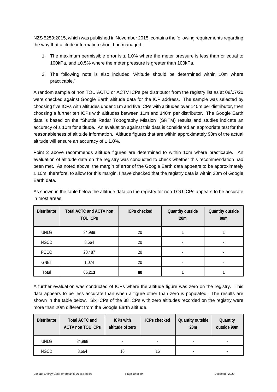NZS 5259:2015, which was published in November 2015, contains the following requirements regarding the way that altitude information should be managed.

- 1. The maximum permissible error is  $\pm$  1.0% where the meter pressure is less than or equal to 100kPa, and ±0.5% where the meter pressure is greater than 100kPa.
- 2. The following note is also included "Altitude should be determined within 10m where practicable."

A random sample of non TOU ACTC or ACTV ICPs per distributor from the registry list as at 08/07/20 were checked against Google Earth altitude data for the ICP address. The sample was selected by choosing five ICPs with altitudes under 11m and five ICPs with altitudes over 140m per distributor, then choosing a further ten ICPs with altitudes between 11m and 140m per distributor. The Google Earth data is based on the "Shuttle Radar Topography Mission" (SRTM) results and studies indicate an accuracy of  $\pm$  10m for altitude. An evaluation against this data is considered an appropriate test for the reasonableness of altitude information. Altitude figures that are within approximately 90m of the actual altitude will ensure an accuracy of  $\pm$  1.0%.

Point 2 above recommends altitude figures are determined to within 10m where practicable. An evaluation of altitude data on the registry was conducted to check whether this recommendation had been met. As noted above, the margin of error of the Google Earth data appears to be approximately  $±$  10m, therefore, to allow for this margin, I have checked that the registry data is within 20m of Google Earth data.

| <b>Distributor</b> | <b>Total ACTC and ACTV non</b><br><b>TOU ICPS</b> | <b>ICPs checked</b> | Quantity outside<br>20m  | Quantity outside<br>90 <sub>m</sub> |
|--------------------|---------------------------------------------------|---------------------|--------------------------|-------------------------------------|
| <b>UNLG</b>        | 34,988                                            | 20                  |                          |                                     |
| <b>NGCD</b>        | 8,664                                             | 20                  | $\overline{\phantom{a}}$ |                                     |
| <b>POCO</b>        | 20,487                                            | 20                  | $\overline{\phantom{a}}$ |                                     |
| <b>GNET</b>        | 1,074                                             | 20                  |                          |                                     |
| Total              | 65,213                                            | 80                  |                          |                                     |

As shown in the table below the altitude data on the registry for non TOU ICPs appears to be accurate in most areas.

A further evaluation was conducted of ICPs where the altitude figure was zero on the registry. This data appears to be less accurate than when a figure other than zero is populated. The results are shown in the table below. Six ICPs of the 38 ICPs with zero altitudes recorded on the registry were more than 20m different from the Google Earth altitude.

| <b>Distributor</b> | <b>Total ACTC and</b><br><b>ACTV non TOU ICPs</b> | <b>ICPs with</b><br>altitude of zero | <b>ICPs checked</b> | Quantity outside<br>20 <sub>m</sub> | Quantity<br>outside 90m |
|--------------------|---------------------------------------------------|--------------------------------------|---------------------|-------------------------------------|-------------------------|
| <b>UNLG</b>        | 34,988                                            |                                      | -                   |                                     |                         |
| <b>NGCD</b>        | 8.664                                             | 16                                   | 16                  |                                     |                         |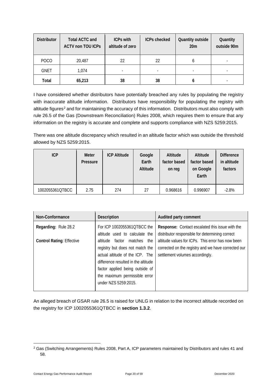| <b>Distributor</b> | Total ACTC and<br><b>ACTV non TOU ICPS</b> | <b>ICPs with</b><br>altitude of zero | <b>ICPs checked</b>      | Quantity outside<br>20 <sub>m</sub> | Quantity<br>outside 90m |
|--------------------|--------------------------------------------|--------------------------------------|--------------------------|-------------------------------------|-------------------------|
| POCO               | 20,487                                     | 22                                   | 22                       | b                                   |                         |
| <b>GNET</b>        | 1.074                                      |                                      | $\overline{\phantom{a}}$ | $\overline{\phantom{0}}$            |                         |
| Total              | 65,213                                     | 38                                   | 38                       |                                     |                         |

I have considered whether distributors have potentially breached any rules by populating the registry with inaccurate altitude information. Distributors have responsibility for populating the registry with altitude figures<sup>[2](#page-19-0)</sup> and for maintaining the accuracy of this information. Distributors must also comply with rule 26.5 of the Gas (Downstream Reconciliation) Rules 2008, which requires them to ensure that any information on the registry is accurate and complete and supports compliance with NZS 5259:2015.

There was one altitude discrepancy which resulted in an altitude factor which was outside the threshold allowed by NZS 5259:2015.

| ICP             | Meter<br>Pressure | <b>ICP Altitude</b> | Google<br>Earth<br>Altitude | Altitude<br>factor based<br>on reg | Altitude<br>factor based<br>on Google<br>Earth | <b>Difference</b><br>in altitude<br>factors |
|-----------------|-------------------|---------------------|-----------------------------|------------------------------------|------------------------------------------------|---------------------------------------------|
| 1002055361QTBCC | 2.75              | 274                 | 27                          | 0.968616                           | 0.996907                                       | $-2.8%$                                     |

| Non-Conformance                  | <b>Description</b>                  | Audited party comment                               |
|----------------------------------|-------------------------------------|-----------------------------------------------------|
| Regarding: Rule 28.2             | For ICP 1002055361QTBCC the         | Response: Contact escalated this issue with the     |
|                                  | altitude used to calculate the      | distributor responsible for determining correct     |
| <b>Control Rating: Effective</b> | altitude factor<br>matches the      | altitude values for ICPs. This error has now been   |
|                                  | registry but does not match the     | corrected on the registry and we have corrected our |
|                                  | actual altitude of the ICP. The     | settlement volumes accordingly.                     |
|                                  | difference resulted in the altitude |                                                     |
|                                  | factor applied being outside of     |                                                     |
|                                  | the maximum permissible error       |                                                     |
|                                  | under NZS 5259:2015.                |                                                     |
|                                  |                                     |                                                     |

An alleged breach of GSAR rule 26.5 is raised for UNLG in relation to the incorrect altitude recorded on the registry for ICP 1002055361QTBCC in **section 1.3.2**.

<span id="page-19-0"></span><sup>2</sup> Gas (Switching Arrangements) Rules 2008, Part A, ICP parameters maintained by Distributors and rules 41 and 58.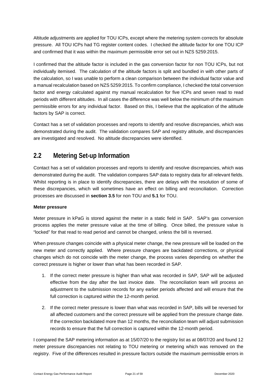Altitude adjustments are applied for TOU ICPs, except where the metering system corrects for absolute pressure. All TOU ICPs had TG register content codes. I checked the altitude factor for one TOU ICP and confirmed that it was within the maximum permissible error set out in NZS 5259:2015.

I confirmed that the altitude factor is included in the gas conversion factor for non TOU ICPs, but not individually itemised. The calculation of the altitude factors is split and bundled in with other parts of the calculation, so I was unable to perform a clean comparison between the individual factor value and a manual recalculation based on NZS 5259:2015. To confirm compliance, I checked the total conversion factor and energy calculated against my manual recalculation for five ICPs and seven read to read periods with different altitudes. In all cases the difference was well below the minimum of the maximum permissible errors for any individual factor. Based on this, I believe that the application of the altitude factors by SAP is correct.

Contact has a set of validation processes and reports to identify and resolve discrepancies, which was demonstrated during the audit. The validation compares SAP and registry altitude, and discrepancies are investigated and resolved. No altitude discrepancies were identified.

### <span id="page-20-0"></span>**2.2 Metering Set-up Information**

Contact has a set of validation processes and reports to identify and resolve discrepancies, which was demonstrated during the audit. The validation compares SAP data to registry data for all relevant fields. Whilst reporting is in place to identify discrepancies, there are delays with the resolution of some of these discrepancies, which will sometimes have an effect on billing and reconciliation. Correction processes are discussed in **section 3.5** for non TOU and **5.1** for TOU.

#### **Meter pressure**

Meter pressure in kPaG is stored against the meter in a static field in SAP. SAP's gas conversion process applies the meter pressure value at the time of billing. Once billed, the pressure value is "locked" for that read to read period and cannot be changed, unless the bill is reversed.

When pressure changes coincide with a physical meter change, the new pressure will be loaded on the new meter and correctly applied. Where pressure changes are backdated corrections, or physical changes which do not coincide with the meter change, the process varies depending on whether the correct pressure is higher or lower than what has been recorded in SAP.

- 1. If the correct meter pressure is higher than what was recorded in SAP, SAP will be adjusted effective from the day after the last invoice date. The reconciliation team will process an adjustment to the submission records for any earlier periods affected and will ensure that the full correction is captured within the 12-month period.
- 2. If the correct meter pressure is lower than what was recorded in SAP, bills will be reversed for all affected customers and the correct pressure will be applied from the pressure change date. If the correction backdated more than 12 months, the reconciliation team will adjust submission records to ensure that the full correction is captured within the 12-month period.

I compared the SAP metering information as at 15/07/20 to the registry list as at 08/07/20 and found 12 meter pressure discrepancies not relating to TOU metering or metering which was removed on the registry. Five of the differences resulted in pressure factors outside the maximum permissible errors in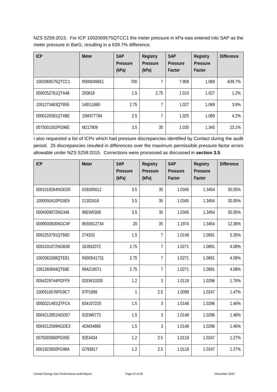NZS 5259:2015. For ICP 1002069575QTCC1 the meter pressure in kPa was entered into SAP as the meter pressure in BarG, resulting in a 639.7% difference.

| <b>ICP</b>      | <b>Meter</b> | <b>SAP</b><br>Pressure<br>(kPa) | Registry<br>Pressure<br>(kPa) | <b>SAP</b><br>Pressure<br>Factor | Registry<br>Pressure<br>Factor | <b>Difference</b> |
|-----------------|--------------|---------------------------------|-------------------------------|----------------------------------|--------------------------------|-------------------|
| 1002069575QTCC1 | R000049651   | 700                             |                               | 7.908                            | 1.069                          | $-639.7%$         |
| 0000252761OTA48 | 250818       | 1.5                             | 2.75                          | 1.015                            | 1.027                          | 1.2%              |
| 1001273463QTB55 | 14EG1860     | 2.75                            | 7                             | 1.027                            | 1.069                          | 3.9%              |
| 0000128381OT4BE | 10M377784    | 2.5                             | 7                             | 1.025                            | 1.069                          | 4.2%              |
| 0075001502PG96E | M217809      | 3.5                             | 35                            | 1.035                            | 1.345                          | 23.1%             |

I also requested a list of ICPs which had pressure discrepancies identified by Contact during the audit period. 25 discrepancies resulted in differences over the maximum permissible pressure factor errors allowable under NZS 5259:2015. Corrections were processed as discussed in **section 3.5**.

| <b>ICP</b>      | <b>Meter</b> | <b>SAP</b><br><b>Pressure</b><br>(kPa) | Registry<br>Pressure<br>(kPa) | <b>SAP</b><br>Pressure<br>Factor | Registry<br>Pressure<br>Factor | <b>Difference</b> |
|-----------------|--------------|----------------------------------------|-------------------------------|----------------------------------|--------------------------------|-------------------|
| 0001019264NGED0 | 01B305612    | 3.5                                    | 35                            | 1.0345                           | 1.3454                         | 30.05%            |
| 1000550410PG0E9 | 21302418     | 3.5                                    | 35                            | 1.0345                           | 1.3454                         | 30.05%            |
| 0004009072NG346 | 96EW0308     | 3.5                                    | 35                            | 1.0345                           | 1.3454                         | 30.05%            |
| 0009000830NGC4F | 85S5612734   | 20                                     | 35                            | 1.1974                           | 1.3454                         | 12.36%            |
| 0002253791QT68D | 274333       | 1.5                                    | $\overline{7}$                | 1.0148                           | 1.0691                         | 5.35%             |
| 0001031072NGB38 | 18J932072    | 2.75                                   | $\overline{7}$                | 1.0271                           | 1.0691                         | 4.08%             |
| 1002063308QTE81 | R000041731   | 2.75                                   | 7                             | 1.0271                           | 1.0691                         | 4.08%             |
| 1001260694QT68E | 99A218071    | 2.75                                   | $\overline{7}$                | 1.0271                           | 1.0691                         | 4.08%             |
| 0054229744PGFF9 | 02EW10205    | 1.2                                    | 3                             | 1.0118                           | 1.0296                         | 1.76%             |
| 1000516576PG9C7 | 07P1888      | 1                                      | 2.5                           | 1.0099                           | 1.0247                         | 1.47%             |
| 0000321481QTFC4 | 834107220    | 1.5                                    | 3                             | 1.0148                           | 1.0296                         | 1.46%             |
| 0004212851NGD07 | 01EW6773     | 1.5                                    | 3                             | 1.0148                           | 1.0296                         | 1.46%             |
| 0004212569NGDE3 | 4GM34865     | 1.5                                    | 3                             | 1.0148                           | 1.0296                         | 1.46%             |
| 0075003060PG05E | 92E4434      | 1.2                                    | 2.5                           | 1.0118                           | 1.0247                         | 1.27%             |
| 0001922650PG98A | G793817      | 1.2                                    | 2.5                           | 1.0118                           | 1.0247                         | 1.27%             |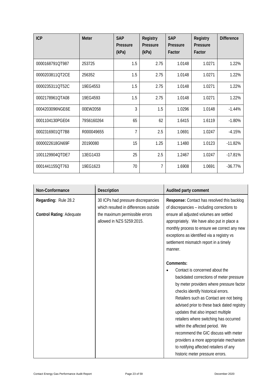| <b>ICP</b>      | <b>Meter</b> | <b>SAP</b><br>Pressure<br>(kPa) | <b>Registry</b><br>Pressure<br>(kPa) | <b>SAP</b><br>Pressure<br>Factor | Registry<br>Pressure<br>Factor | <b>Difference</b> |
|-----------------|--------------|---------------------------------|--------------------------------------|----------------------------------|--------------------------------|-------------------|
| 0000168791QT987 | 253725       | 1.5                             | 2.75                                 | 1.0148                           | 1.0271                         | 1.22%             |
| 0000203811QT2CE | 256352       | 1.5                             | 2.75                                 | 1.0148                           | 1.0271                         | 1.22%             |
| 0000235311QT52C | 19EG4553     | 1.5                             | 2.75                                 | 1.0148                           | 1.0271                         | 1.22%             |
| 0002178961QTA08 | 19EG4593     | 1.5                             | 2.75                                 | 1.0148                           | 1.0271                         | 1.22%             |
| 0004203096NGE6E | 00EW2058     | 3                               | 1.5                                  | 1.0296                           | 1.0148                         | $-1.44%$          |
| 0001104130PGE04 | 79S6160264   | 65                              | 62                                   | 1.6415                           | 1.6119                         | $-1.80%$          |
| 0002316901QT7B8 | R000049655   | $\overline{7}$                  | 2.5                                  | 1.0691                           | 1.0247                         | $-4.15%$          |
| 0000022618GN69F | 20190080     | 15                              | 1.25                                 | 1.1480                           | 1.0123                         | $-11.82%$         |
| 1001129904QTDE7 | 13EG1433     | 25                              | 2.5                                  | 1.2467                           | 1.0247                         | $-17.81%$         |
| 0001441155QT763 | 19EG1623     | 70                              | 7                                    | 1.6908                           | 1.0691                         | $-36.77%$         |

| Non-Conformance                 | <b>Description</b>                                                          | Audited party comment                                                                                                                                                                                                                                                                                                                                                                                                                                                                                                                |
|---------------------------------|-----------------------------------------------------------------------------|--------------------------------------------------------------------------------------------------------------------------------------------------------------------------------------------------------------------------------------------------------------------------------------------------------------------------------------------------------------------------------------------------------------------------------------------------------------------------------------------------------------------------------------|
| Regarding: Rule 28.2            | 30 ICPs had pressure discrepancies<br>which resulted in differences outside | Response: Contact has resolved this backlog<br>of discrepancies - including corrections to                                                                                                                                                                                                                                                                                                                                                                                                                                           |
| <b>Control Rating: Adequate</b> | the maximum permissible errors<br>allowed in NZS 5259:2015.                 | ensure all adjusted volumes are settled<br>appropriately. We have also put in place a<br>monthly process to ensure we correct any new<br>exceptions as identified via a registry vs<br>settlement mismatch report in a timely<br>manner.                                                                                                                                                                                                                                                                                             |
|                                 |                                                                             | Comments:                                                                                                                                                                                                                                                                                                                                                                                                                                                                                                                            |
|                                 |                                                                             | Contact is concerned about the<br>backdated corrections of meter pressure<br>by meter providers where pressure factor<br>checks identify historical errors.<br>Retailers such as Contact are not being<br>advised prior to these back dated registry<br>updates that also impact multiple<br>retailers where switching has occurred<br>within the affected period. We<br>recommend the GIC discuss with meter<br>providers a more appropriate mechanism<br>to notifying affected retailers of any<br>historic meter pressure errors. |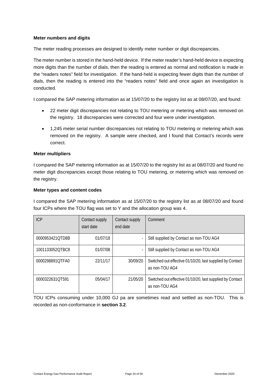#### **Meter numbers and digits**

The meter reading processes are designed to identify meter number or digit discrepancies.

The meter number is stored in the hand-held device. If the meter reader's hand-held device is expecting more digits than the number of dials, then the reading is entered as normal and notification is made in the "readers notes" field for investigation. If the hand-held is expecting fewer digits than the number of dials, then the reading is entered into the "readers notes" field and once again an investigation is conducted.

I compared the SAP metering information as at 15/07/20 to the registry list as at 08/07/20, and found:

- 22 meter digit discrepancies not relating to TOU metering or metering which was removed on the registry. 18 discrepancies were corrected and four were under investigation.
- 1,245 meter serial number discrepancies not relating to TOU metering or metering which was removed on the registry. A sample were checked, and I found that Contact's records were correct.

#### **Meter multipliers**

I compared the SAP metering information as at 15/07/20 to the registry list as at 08/07/20 and found no meter digit discrepancies except those relating to TOU metering, or metering which was removed on the registry.

#### **Meter types and content codes**

I compared the SAP metering information as at 15/07/20 to the registry list as at 08/07/20 and found four ICPs where the TOU flag was set to Y and the allocation group was 4.

| <b>ICP</b>      | Contact supply<br>start date | Contact supply<br>end date | Comment                                                                     |
|-----------------|------------------------------|----------------------------|-----------------------------------------------------------------------------|
| 0000953421OTD8B | 01/07/18                     |                            | Still supplied by Contact as non-TOU AG4                                    |
| 1001133052OTBC8 | 01/07/08                     |                            | Still supplied by Contact as non-TOU AG4                                    |
| 0000298891OTFA0 | 22/11/17                     | 30/09/20                   | Switched out effective 01/10/20, last supplied by Contact<br>as non-TOU AG4 |
| 0000322631OT591 | 05/04/17                     | 21/05/20                   | Switched out effective 01/10/20, last supplied by Contact<br>as non-TOU AG4 |

TOU ICPs consuming under 10,000 GJ pa are sometimes read and settled as non-TOU. This is recorded as non-conformance in **section 3.2**.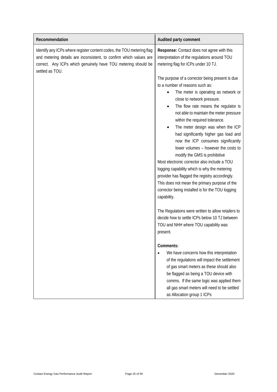| Recommendation                                                                                                                                                                                                                  | Audited party comment                                                                                                                                                                                                                                                                                                                                                                                                                                                                                                                                                                                                                                                                                                                                                      |
|---------------------------------------------------------------------------------------------------------------------------------------------------------------------------------------------------------------------------------|----------------------------------------------------------------------------------------------------------------------------------------------------------------------------------------------------------------------------------------------------------------------------------------------------------------------------------------------------------------------------------------------------------------------------------------------------------------------------------------------------------------------------------------------------------------------------------------------------------------------------------------------------------------------------------------------------------------------------------------------------------------------------|
| Identify any ICPs where register content codes, the TOU metering flag<br>and metering details are inconsistent, to confirm which values are<br>correct. Any ICPs which genuinely have TOU metering should be<br>settled as TOU. | Response: Contact does not agree with this<br>interpretation of the regulations around TOU<br>metering flag for ICPs under 10 TJ.                                                                                                                                                                                                                                                                                                                                                                                                                                                                                                                                                                                                                                          |
|                                                                                                                                                                                                                                 | The purpose of a corrector being present is due<br>to a number of reasons such as:<br>The meter is operating as network or<br>close to network pressure.<br>The flow rate means the regulator is<br>$\bullet$<br>not able to maintain the meter pressure<br>within the required tolerance.<br>The meter design was when the ICP<br>$\bullet$<br>had significantly higher gas load and<br>now the ICP consumes significantly<br>lower volumes - however the costs to<br>modify the GMS is prohibitive<br>Most electronic corrector also include a TOU<br>logging capability which is why the metering<br>provider has flagged the registry accordingly.<br>This does not mean the primary purpose of the<br>corrector being installed is for the TOU logging<br>capability. |
|                                                                                                                                                                                                                                 | The Regulations were written to allow retailers to<br>decide how to settle ICPs below 10 TJ between<br>TOU and NHH where TOU capability was<br>present.                                                                                                                                                                                                                                                                                                                                                                                                                                                                                                                                                                                                                    |
|                                                                                                                                                                                                                                 | Comments:<br>We have concerns how this interpretation<br>of the regulations will impact the settlement<br>of gas smart meters as these should also<br>be flagged as being a TOU device with<br>comms. If the same logic was applied them<br>all gas smart meters will need to be settled<br>as Allocation group 1 ICPs                                                                                                                                                                                                                                                                                                                                                                                                                                                     |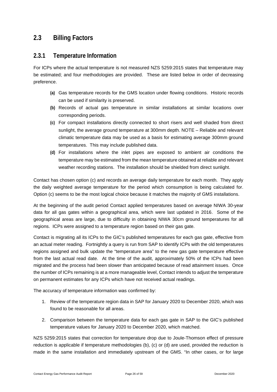### <span id="page-25-0"></span>**2.3 Billing Factors**

#### <span id="page-25-1"></span>**2.3.1 Temperature Information**

For ICPs where the actual temperature is not measured NZS 5259:2015 states that temperature may be estimated; and four methodologies are provided. These are listed below in order of decreasing preference.

- **(a)** Gas temperature records for the GMS location under flowing conditions. Historic records can be used if similarity is preserved.
- **(b)** Records of actual gas temperature in similar installations at similar locations over corresponding periods.
- **(c)** For compact installations directly connected to short risers and well shaded from direct sunlight, the average ground temperature at 300mm depth. NOTE – Reliable and relevant climatic temperature data may be used as a basis for estimating average 300mm ground temperatures. This may include published data.
- **(d)** For installations where the inlet pipes are exposed to ambient air conditions the temperature may be estimated from the mean temperature obtained at reliable and relevant weather recording stations. The installation should be shielded from direct sunlight.

Contact has chosen option (c) and records an average daily temperature for each month. They apply the daily weighted average temperature for the period which consumption is being calculated for. Option (c) seems to be the most logical choice because it matches the majority of GMS installations.

At the beginning of the audit period Contact applied temperatures based on average NIWA 30-year data for all gas gates within a geographical area, which were last updated in 2016. Some of the geographical areas are large, due to difficulty in obtaining NIWA 30cm ground temperatures for all regions. ICPs were assigned to a temperature region based on their gas gate.

Contact is migrating all its ICPs to the GIC's published temperatures for each gas gate, effective from an actual meter reading. Fortnightly a query is run from SAP to identify ICPs with the old temperatures regions assigned and bulk update the "temperature area" to the new gas gate temperature effective from the last actual read date. At the time of the audit, approximately 50% of the ICPs had been migrated and the process had been slower than anticipated because of read attainment issues. Once the number of ICPs remaining is at a more manageable level, Contact intends to adjust the temperature on permanent estimates for any ICPs which have not received actual readings.

The accuracy of temperature information was confirmed by:

- 1. Review of the temperature region data in SAP for January 2020 to December 2020, which was found to be reasonable for all areas.
- 2. Comparison between the temperature data for each gas gate in SAP to the GIC's published temperature values for January 2020 to December 2020, which matched.

NZS 5259:2015 states that correction for temperature drop due to Joule-Thomson effect of pressure reduction is applicable if temperature methodologies (b), (c) or (d) are used, provided the reduction is made in the same installation and immediately upstream of the GMS. "In other cases, or for large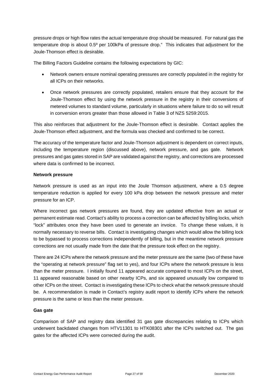pressure drops or high flow rates the actual temperature drop should be measured. For natural gas the temperature drop is about 0.5º per 100kPa of pressure drop." This indicates that adjustment for the Joule-Thomson effect is desirable.

The Billing Factors Guideline contains the following expectations by GIC:

- Network owners ensure nominal operating pressures are correctly populated in the registry for all ICPs on their networks.
- Once network pressures are correctly populated, retailers ensure that they account for the Joule-Thomson effect by using the network pressure in the registry in their conversions of metered volumes to standard volume, particularly in situations where failure to do so will result in conversion errors greater than those allowed in Table 3 of NZS 5259:2015.

This also reinforces that adjustment for the Joule-Thomson effect is desirable. Contact applies the Joule-Thomson effect adjustment, and the formula was checked and confirmed to be correct.

The accuracy of the temperature factor and Joule-Thomson adjustment is dependent on correct inputs, including the temperature region (discussed above), network pressure, and gas gate. Network pressures and gas gates stored in SAP are validated against the registry, and corrections are processed where data is confirmed to be incorrect.

#### **Network pressure**

Network pressure is used as an input into the Joule Thomson adjustment, where a 0.5 degree temperature reduction is applied for every 100 kPa drop between the network pressure and meter pressure for an ICP.

Where incorrect gas network pressures are found, they are updated effective from an actual or permanent estimate read. Contact's ability to process a correction can be affected by billing locks, which "lock" attributes once they have been used to generate an invoice. To change these values, it is normally necessary to reverse bills. Contact is investigating changes which would allow the billing lock to be bypassed to process corrections independently of billing, but in the meantime network pressure corrections are not usually made from the date that the pressure took effect on the registry.

There are 24 ICPs where the network pressure and the meter pressure are the same (two of these have the "operating at network pressure" flag set to yes), and four ICPs where the network pressure is less than the meter pressure. I initially found 11 appeared accurate compared to most ICPs on the street, 11 appeared reasonable based on other nearby ICPs, and six appeared unusually low compared to other ICPs on the street. Contact is investigating these ICPs to check what the network pressure should be. A recommendation is made in Contact's registry audit report to identify ICPs where the network pressure is the same or less than the meter pressure.

#### **Gas gate**

Comparison of SAP and registry data identified 31 gas gate discrepancies relating to ICPs which underwent backdated changes from HTV11301 to HTK08301 after the ICPs switched out. The gas gates for the affected ICPs were corrected during the audit.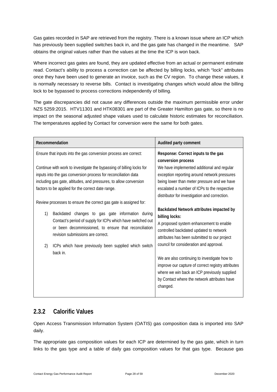Gas gates recorded in SAP are retrieved from the registry. There is a known issue where an ICP which has previously been supplied switches back in, and the gas gate has changed in the meantime. SAP obtains the original values rather than the values at the time the ICP is won back.

Where incorrect gas gates are found, they are updated effective from an actual or permanent estimate read. Contact's ability to process a correction can be affected by billing locks, which "lock" attributes once they have been used to generate an invoice, such as the CV region. To change these values, it is normally necessary to reverse bills. Contact is investigating changes which would allow the billing lock to be bypassed to process corrections independently of billing.

The gate discrepancies did not cause any differences outside the maximum permissible error under NZS 5259:2015. HTV11301 and HTK08301 are part of the Greater Hamilton gas gate, so there is no impact on the seasonal adjusted shape values used to calculate historic estimates for reconciliation. The temperatures applied by Contact for conversion were the same for both gates.

| Recommendation                                                                                                                                                                                                                                                                                                                                                                                                                                                                                                                                                                            | Audited party comment                                                                                                                                                                                                                                                                                                                                                                                                                                       |
|-------------------------------------------------------------------------------------------------------------------------------------------------------------------------------------------------------------------------------------------------------------------------------------------------------------------------------------------------------------------------------------------------------------------------------------------------------------------------------------------------------------------------------------------------------------------------------------------|-------------------------------------------------------------------------------------------------------------------------------------------------------------------------------------------------------------------------------------------------------------------------------------------------------------------------------------------------------------------------------------------------------------------------------------------------------------|
| Ensure that inputs into the gas conversion process are correct:<br>Continue with work to investigate the bypassing of billing locks for<br>inputs into the gas conversion process for reconciliation data<br>including gas gate, altitudes, and pressures, to allow conversion<br>factors to be applied for the correct date range.<br>Review processes to ensure the correct gas gate is assigned for:<br>1)<br>Backdated changes to gas gate information during<br>Contact's period of supply for ICPs which have switched out<br>or been decommissioned, to ensure that reconciliation | Response: Correct inputs to the gas<br>conversion process<br>We have implemented additional and regular<br>exception reporting around network pressures<br>being lower than meter pressure and we have<br>escalated a number of ICPs to the respective<br>distributor for investigation and correction.<br>Backdated Network attributes impacted by<br>billing locks:<br>A proposed system enhancement to enable<br>controlled backdated updated to network |
| revision submissions are correct.<br>ICPs which have previously been supplied which switch<br>2)<br>back in.                                                                                                                                                                                                                                                                                                                                                                                                                                                                              | attributes has been submitted to our project<br>council for consideration and approval.<br>We are also continuing to investigate how to<br>improve our capture of correct registry attributes                                                                                                                                                                                                                                                               |
|                                                                                                                                                                                                                                                                                                                                                                                                                                                                                                                                                                                           | where we win back an ICP previously supplied<br>by Contact where the network attributes have<br>changed.                                                                                                                                                                                                                                                                                                                                                    |

#### <span id="page-27-0"></span>**2.3.2 Calorific Values**

Open Access Transmission Information System (OATIS) gas composition data is imported into SAP daily.

The appropriate gas composition values for each ICP are determined by the gas gate, which in turn links to the gas type and a table of daily gas composition values for that gas type. Because gas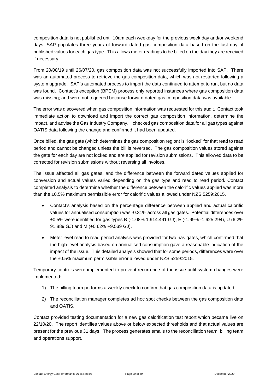composition data is not published until 10am each weekday for the previous week day and/or weekend days, SAP populates three years of forward dated gas composition data based on the last day of published values for each gas type. This allows meter readings to be billed on the day they are received if necessary.

From 20/08/19 until 26/07/20, gas composition data was not successfully imported into SAP. There was an automated process to retrieve the gas composition data, which was not restarted following a system upgrade. SAP's automated process to import the data continued to attempt to run, but no data was found. Contact's exception (BPEM) process only reported instances where gas composition data was missing; and were not triggered because forward dated gas composition data was available.

The error was discovered when gas composition information was requested for this audit. Contact took immediate action to download and import the correct gas composition information, determine the impact, and advise the Gas Industry Company. I checked gas composition data for all gas types against OATIS data following the change and confirmed it had been updated.

Once billed, the gas gate (which determines the gas composition region) is "locked" for that read to read period and cannot be changed unless the bill is reversed. The gas composition values stored against the gate for each day are not locked and are applied for revision submissions. This allowed data to be corrected for revision submissions without reversing all invoices.

The issue affected all gas gates, and the difference between the forward dated values applied for conversion and actual values varied depending on the gas type and read to read period. Contact completed analysis to determine whether the difference between the calorific values applied was more than the ±0.5% maximum permissible error for calorific values allowed under NZS 5259:2015.

- Contact's analysis based on the percentage difference between applied and actual calorific values for annualised consumption was -0.31% across all gas gates. Potential differences over ±0.5% were identified for gas types B (-1.08% 1,914.491 GJ), E (-1.99% -1,625.294), U (6.2% 91.889 GJ) and M (+0.62% +9.539 GJ).
- Meter level read to read period analysis was provided for two has gates, which confirmed that the high-level analysis based on annualised consumption gave a reasonable indication of the impact of the issue. This detailed analysis showed that for some periods, differences were over the ±0.5% maximum permissible error allowed under NZS 5259:2015.

Temporary controls were implemented to prevent recurrence of the issue until system changes were implemented:

- 1) The billing team performs a weekly check to confirm that gas composition data is updated.
- 2) The reconciliation manager completes ad hoc spot checks between the gas composition data and OATIS.

Contact provided testing documentation for a new gas calorification test report which became live on 22/10/20. The report identifies values above or below expected thresholds and that actual values are present for the previous 31 days. The process generates emails to the reconciliation team, billing team and operations support.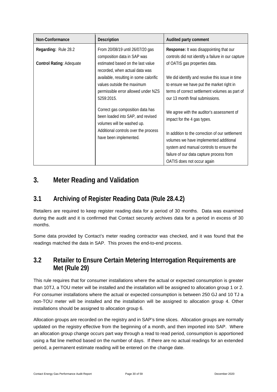| Non-Conformance                 | <b>Description</b>                                                                                  | Audited party comment                                                                         |
|---------------------------------|-----------------------------------------------------------------------------------------------------|-----------------------------------------------------------------------------------------------|
| Regarding: Rule 28.2            | From 20/08/19 until 26/07/20 gas<br>composition data in SAP was                                     | Response: It was disappointing that our<br>controls did not identify a failure in our capture |
| <b>Control Rating: Adequate</b> | estimated based on the last value<br>recorded, when actual data was                                 | of OATIS gas properties data.                                                                 |
|                                 | available, resulting in some calorific<br>values outside the maximum                                | We did identify and resolve this issue in time<br>to ensure we have put the market right in   |
|                                 | permissible error allowed under NZS<br>5259:2015.                                                   | terms of correct settlement volumes as part of<br>our 13 month final submissions.             |
|                                 | Correct gas composition data has<br>been loaded into SAP, and revised<br>volumes will be washed up. | We agree with the auditor's assessment of<br>impact for the 4 gas types.                      |
|                                 | Additional controls over the process<br>have been implemented.                                      | In addition to the correction of our settlement<br>volumes we have implemented additional     |
|                                 |                                                                                                     | system and manual controls to ensure the                                                      |
|                                 |                                                                                                     | failure of our data capture process from                                                      |
|                                 |                                                                                                     | OATIS does not occur again                                                                    |

# <span id="page-29-0"></span>**3. Meter Reading and Validation**

# <span id="page-29-1"></span>**3.1 Archiving of Register Reading Data (Rule 28.4.2)**

Retailers are required to keep register reading data for a period of 30 months. Data was examined during the audit and it is confirmed that Contact securely archives data for a period in excess of 30 months.

Some data provided by Contact's meter reading contractor was checked, and it was found that the readings matched the data in SAP. This proves the end-to-end process.

### <span id="page-29-2"></span>**3.2 Retailer to Ensure Certain Metering Interrogation Requirements are Met (Rule 29)**

This rule requires that for consumer installations where the actual or expected consumption is greater than 10TJ, a TOU meter will be installed and the installation will be assigned to allocation group 1 or 2. For consumer installations where the actual or expected consumption is between 250 GJ and 10 TJ a non-TOU meter will be installed and the installation will be assigned to allocation group 4. Other installations should be assigned to allocation group 6.

Allocation groups are recorded on the registry and in SAP's time slices. Allocation groups are normally updated on the registry effective from the beginning of a month, and then imported into SAP. Where an allocation group change occurs part way through a read to read period, consumption is apportioned using a flat line method based on the number of days. If there are no actual readings for an extended period, a permanent estimate reading will be entered on the change date.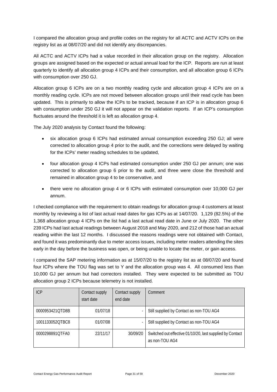I compared the allocation group and profile codes on the registry for all ACTC and ACTV ICPs on the registry list as at 08/07/20 and did not identify any discrepancies.

All ACTC and ACTV ICPs had a value recorded in their allocation group on the registry. Allocation groups are assigned based on the expected or actual annual load for the ICP. Reports are run at least quarterly to identify all allocation group 4 ICPs and their consumption, and all allocation group 6 ICPs with consumption over 250 GJ.

Allocation group 6 ICPs are on a two monthly reading cycle and allocation group 4 ICPs are on a monthly reading cycle. ICPs are not moved between allocation groups until their read cycle has been updated. This is primarily to allow the ICPs to be tracked, because if an ICP is in allocation group 6 with consumption under 250 GJ it will not appear on the validation reports. If an ICP's consumption fluctuates around the threshold it is left as allocation group 4.

The July 2020 analysis by Contact found the following:

- six allocation group 6 ICPs had estimated annual consumption exceeding 250 GJ; all were corrected to allocation group 4 prior to the audit, and the corrections were delayed by waiting for the ICPs' meter reading schedules to be updated,
- four allocation group 4 ICPs had estimated consumption under 250 GJ per annum; one was corrected to allocation group 6 prior to the audit, and three were close the threshold and remained in allocation group 4 to be conservative, and
- there were no allocation group 4 or 6 ICPs with estimated consumption over 10,000 GJ per annum.

I checked compliance with the requirement to obtain readings for allocation group 4 customers at least monthly by reviewing a list of last actual read dates for gas ICPs as at 14/07/20. 1,129 (82.5%) of the 1,368 allocation group 4 ICPs on the list had a last actual read date in June or July 2020. The other 239 ICPs had last actual readings between August 2018 and May 2020, and 212 of those had an actual reading within the last 12 months. I discussed the reasons readings were not obtained with Contact, and found it was predominantly due to meter access issues, including meter readers attending the sites early in the day before the business was open, or being unable to locate the meter, or gain access.

I compared the SAP metering information as at 15/07/20 to the registry list as at 08/07/20 and found four ICPs where the TOU flag was set to Y and the allocation group was 4. All consumed less than 10,000 GJ per annum but had correctors installed. They were expected to be submitted as TOU allocation group 2 ICPs because telemetry is not installed.

| <b>ICP</b>      | Contact supply<br>start date | Contact supply<br>end date | Comment                                                                     |
|-----------------|------------------------------|----------------------------|-----------------------------------------------------------------------------|
| 0000953421OTD8B | 01/07/18                     |                            | Still supplied by Contact as non-TOU AG4                                    |
| 1001133052OTBC8 | 01/07/08                     |                            | Still supplied by Contact as non-TOU AG4                                    |
| 0000298891OTFA0 | 22/11/17                     | 30/09/20                   | Switched out effective 01/10/20, last supplied by Contact<br>as non-TOU AG4 |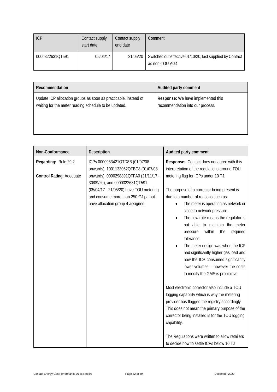| <b>ICP</b>      | Contact supply<br>start date | Contact supply<br>end date | Comment                                                                     |
|-----------------|------------------------------|----------------------------|-----------------------------------------------------------------------------|
| 0000322631QT591 | 05/04/17                     | 21/05/20                   | Switched out effective 01/10/20, last supplied by Contact<br>as non-TOU AG4 |

| Recommendation                                                  | Audited party comment              |
|-----------------------------------------------------------------|------------------------------------|
| Update ICP allocation groups as soon as practicable, instead of | Response: We have implemented this |
| waiting for the meter reading schedule to be updated.           | recommendation into our process.   |

| Non-Conformance                                         | Description                                                                                                                                                                                                                                                             | Audited party comment                                                                                                                                                                                                                                                                                                                                                                                                                                                                                                                                                                                                                                                                    |
|---------------------------------------------------------|-------------------------------------------------------------------------------------------------------------------------------------------------------------------------------------------------------------------------------------------------------------------------|------------------------------------------------------------------------------------------------------------------------------------------------------------------------------------------------------------------------------------------------------------------------------------------------------------------------------------------------------------------------------------------------------------------------------------------------------------------------------------------------------------------------------------------------------------------------------------------------------------------------------------------------------------------------------------------|
| Regarding: Rule 29.2<br><b>Control Rating: Adequate</b> | ICPs 0000953421QTD8B (01/07/08<br>onwards), 1001133052QTBC8 (01/07/08<br>onwards), 0000298891QTFA0 (21/11/17 -<br>30/09/20), and 0000322631QT591<br>(05/04/17 - 21/05/20) have TOU metering<br>and consume more than 250 GJ pa but<br>have allocation group 4 assigned. | Response: Contact does not agree with this<br>interpretation of the regulations around TOU<br>metering flag for ICPs under 10 TJ.<br>The purpose of a corrector being present is<br>due to a number of reasons such as:<br>The meter is operating as network or<br>close to network pressure.<br>The flow rate means the regulator is<br>$\bullet$<br>not able to maintain the meter<br>within<br>the<br>required<br>pressure<br>tolerance.<br>The meter design was when the ICP<br>had significantly higher gas load and<br>now the ICP consumes significantly<br>lower volumes - however the costs<br>to modify the GMS is prohibitive<br>Most electronic corrector also include a TOU |
|                                                         |                                                                                                                                                                                                                                                                         | logging capability which is why the metering<br>provider has flagged the registry accordingly.<br>This does not mean the primary purpose of the<br>corrector being installed is for the TOU logging                                                                                                                                                                                                                                                                                                                                                                                                                                                                                      |
|                                                         |                                                                                                                                                                                                                                                                         | capability.<br>The Regulations were written to allow retailers<br>to decide how to settle ICPs below 10 TJ                                                                                                                                                                                                                                                                                                                                                                                                                                                                                                                                                                               |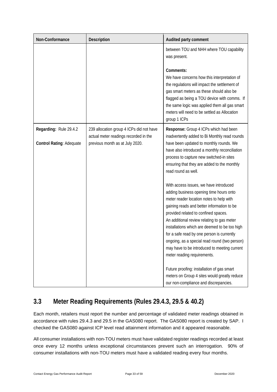| Non-Conformance                 | Description                                                                       | Audited party comment                                                                                                                                                                                                                                                                                                                                                                                                                                                                            |
|---------------------------------|-----------------------------------------------------------------------------------|--------------------------------------------------------------------------------------------------------------------------------------------------------------------------------------------------------------------------------------------------------------------------------------------------------------------------------------------------------------------------------------------------------------------------------------------------------------------------------------------------|
|                                 |                                                                                   | between TOU and NHH where TOU capability<br>was present.                                                                                                                                                                                                                                                                                                                                                                                                                                         |
|                                 |                                                                                   | Comments:<br>We have concerns how this interpretation of<br>the regulations will impact the settlement of<br>gas smart meters as these should also be<br>flagged as being a TOU device with comms. If<br>the same logic was applied them all gas smart<br>meters will need to be settled as Allocation<br>group 1 ICPs                                                                                                                                                                           |
| Regarding: Rule 29.4.2          | 239 allocation group 4 ICPs did not have<br>actual meter readings recorded in the | Response: Group 4 ICPs which had been<br>inadvertently added to Bi Monthly read rounds                                                                                                                                                                                                                                                                                                                                                                                                           |
| <b>Control Rating: Adequate</b> | previous month as at July 2020.                                                   | have been updated to monthly rounds. We<br>have also introduced a monthly reconciliation<br>process to capture new switched-in sites<br>ensuring that they are added to the monthly<br>read round as well.                                                                                                                                                                                                                                                                                       |
|                                 |                                                                                   | With access issues, we have introduced<br>adding business opening time hours onto<br>meter reader location notes to help with<br>gaining reads and better information to be<br>provided related to confined spaces.<br>An additional review relating to gas meter<br>installations which are deemed to be too high<br>for a safe read by one person is currently<br>ongoing, as a special read round (two person)<br>may have to be introduced to meeting current<br>meter reading requirements. |
|                                 |                                                                                   | Future proofing: installation of gas smart<br>meters on Group 4 sites would greatly reduce<br>our non-compliance and discrepancies.                                                                                                                                                                                                                                                                                                                                                              |

# <span id="page-32-0"></span>**3.3 Meter Reading Requirements (Rules 29.4.3, 29.5 & 40.2)**

Each month, retailers must report the number and percentage of validated meter readings obtained in accordance with rules 29.4.3 and 29.5 in the GAS080 report. The GAS080 report is created by SAP. I checked the GAS080 against ICP level read attainment information and it appeared reasonable.

All consumer installations with non-TOU meters must have validated register readings recorded at least once every 12 months unless exceptional circumstances prevent such an interrogation. 90% of consumer installations with non-TOU meters must have a validated reading every four months.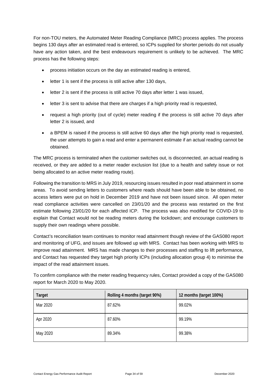For non-TOU meters, the Automated Meter Reading Compliance (MRC) process applies. The process begins 130 days after an estimated read is entered, so ICPs supplied for shorter periods do not usually have any action taken, and the best endeavours requirement is unlikely to be achieved. The MRC process has the following steps:

- process initiation occurs on the day an estimated reading is entered,
- letter 1 is sent if the process is still active after 130 days,
- letter 2 is sent if the process is still active 70 days after letter 1 was issued,
- letter 3 is sent to advise that there are charges if a high priority read is requested,
- request a high priority (out of cycle) meter reading if the process is still active 70 days after letter 2 is issued, and
- a BPEM is raised if the process is still active 60 days after the high priority read is requested, the user attempts to gain a read and enter a permanent estimate if an actual reading cannot be obtained.

The MRC process is terminated when the customer switches out, is disconnected, an actual reading is received, or they are added to a meter reader exclusion list (due to a health and safety issue or not being allocated to an active meter reading route).

Following the transition to MRS in July 2019, resourcing issues resulted in poor read attainment in some areas. To avoid sending letters to customers where reads should have been able to be obtained, no access letters were put on hold in December 2019 and have not been issued since. All open meter read compliance activities were cancelled on 23/01/20 and the process was restarted on the first estimate following 23/01/20 for each affected ICP. The process was also modified for COVID-19 to explain that Contact would not be reading meters during the lockdown; and encourage customers to supply their own readings where possible.

Contact's reconciliation team continues to monitor read attainment though review of the GAS080 report and monitoring of UFG, and issues are followed up with MRS. Contact has been working with MRS to improve read attainment. MRS has made changes to their processes and staffing to lift performance, and Contact has requested they target high priority ICPs (including allocation group 4) to minimise the impact of the read attainment issues.

To confirm compliance with the meter reading frequency rules, Contact provided a copy of the GAS080 report for March 2020 to May 2020.

| <b>Target</b> | Rolling 4 months (target 90%) | 12 months (target 100%) |
|---------------|-------------------------------|-------------------------|
| Mar 2020      | 87.62%                        | 99.02%                  |
| Apr 2020      | 87.60%                        | 99.19%                  |
| May 2020      | 89.34%                        | 99.38%                  |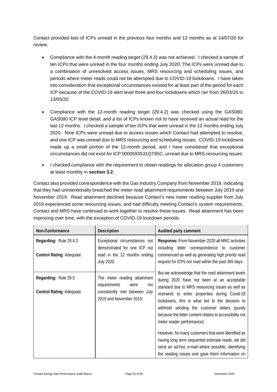Contact provided lists of ICPs unread in the previous four months and 12 months as at 14/07/20 for review.

- Compliance with the 4-month reading target (29.4.3) was not achieved. I checked a sample of ten ICPs that were unread in the four months ending July 2020. The ICPs were unread due to a combination of unresolved access issues, MRS resourcing and scheduling issues, and periods where meter reads could not be attempted due to COVID-19 lockdowns. I have taken into consideration that exceptional circumstances existed for at least part of the period for each ICP because of the COVID-19 alert level three and four lockdowns which ran from 26/03/20 to 13/05/20.
- Compliance with the 12-month reading target (29.4.2) was checked using the GAS080, GAS080 ICP level detail, and a list of ICPs known not to have received an actual read for the last 12 months. I checked a sample of ten ICPs that were unread in the 12 months ending July 2020. Nine ICPs were unread due to access issues which Contact had attempted to resolve, and one ICP was unread due to MRS resourcing and scheduling issues. COVID-19 lockdowns made up a small portion of the 12-month period, and I have considered that exceptional circumstances did not exist for ICP 0000593531QT85C, unread due to MRS resourcing issues.
- I checked compliance with the requirement to obtain readings for allocation group 4 customers at least monthly in **section 3.2**.

Contact also provided correspondence with the Gas Industry Company from November 2019, indicating that they had unintentionally breached the meter read attainment requirements between July 2019 and November 2019. Read attainment declined because Contact's new meter reading supplier from July 2019 experienced some resourcing issues, and had difficulty meeting Contact's system requirements. Contact and MRS have continued to work together to resolve these issues. Read attainment has been improving over time, with the exception of COVID-19 lockdown periods.

| Non-Conformance                                           | <b>Description</b>                                                                                                         | Audited party comment                                                                                                                                                                                                                                                                                                                                                |  |  |
|-----------------------------------------------------------|----------------------------------------------------------------------------------------------------------------------------|----------------------------------------------------------------------------------------------------------------------------------------------------------------------------------------------------------------------------------------------------------------------------------------------------------------------------------------------------------------------|--|--|
| Regarding: Rule 29.4.3<br><b>Control Rating: Adequate</b> | Exceptional circumstances not<br>demonstrated for one ICP not<br>read in the 12 months ending<br>July 2020.                | Response: From November 2020 all MRC activities<br>including letter correspondence to customer<br>commenced as well as generating high priority read<br>request for ICPs not read within the past 365 days.                                                                                                                                                          |  |  |
| Regarding: Rule 29.5<br><b>Control Rating: Adequate</b>   | The meter reading attainment<br>requirements<br>were<br>not<br>consistently met between<br>July<br>2019 and November 2019. | But we acknowledge that the read attainment levels<br>during 2020 have not been at an acceptable<br>standard due to MRS resourcing issues as well as<br>restraints to enter properties during Covid-19<br>lockdowns, this is what led to the decision to<br>withhold sending the customer letters (purely<br>because the letter content relates to accessibility not |  |  |
|                                                           |                                                                                                                            | meter reader performance).<br>However, for many customers that were identified as<br>having long term sequential estimate reads, we did<br>send an ad-hoc e-mail where possible, identifying<br>the reading issues and gave them information on                                                                                                                      |  |  |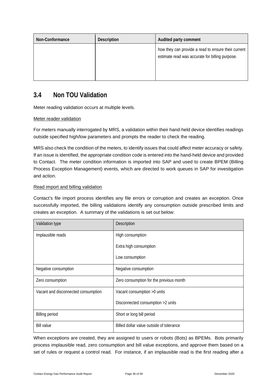| Non-Conformance | Description | Audited party comment                                                                                  |  |
|-----------------|-------------|--------------------------------------------------------------------------------------------------------|--|
|                 |             | how they can provide a read to ensure their current<br>estimate read was accurate for billing purpose. |  |

### <span id="page-35-0"></span>**3.4 Non TOU Validation**

Meter reading validation occurs at multiple levels.

#### Meter reader validation

For meters manually interrogated by MRS, a validation within their hand-held device identifies readings outside specified high/low parameters and prompts the reader to check the reading.

MRS also check the condition of the meters, to identify issues that could affect meter accuracy or safety. If an issue is identified, the appropriate condition code is entered into the hand-held device and provided to Contact. The meter condition information is imported into SAP and used to create BPEM (Billing Process Exception Management) events, which are directed to work queues in SAP for investigation and action.

#### Read import and billing validation

Contact's file import process identifies any file errors or corruption and creates an exception. Once successfully imported, the billing validations identify any consumption outside prescribed limits and creates an exception. A summary of the validations is set out below:

| Validation type                     | Description                              |
|-------------------------------------|------------------------------------------|
| Implausible reads                   | High consumption                         |
|                                     | Extra high consumption                   |
|                                     | Low consumption                          |
| Negative consumption                | Negative consumption                     |
| Zero consumption                    | Zero consumption for the previous month  |
| Vacant and disconnected consumption | Vacant consumption >0 units              |
|                                     | Disconnected consumption >2 units        |
| <b>Billing period</b>               | Short or long bill period                |
| <b>Bill value</b>                   | Billed dollar value outside of tolerance |

When exceptions are created, they are assigned to users or robots (Bots) as BPEMs. Bots primarily process implausible read, zero consumption and bill value exceptions, and approve them based on a set of rules or request a control read. For instance, if an implausible read is the first reading after a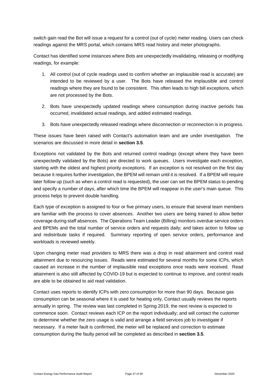switch gain read the Bot will issue a request for a control (out of cycle) meter reading. Users can check readings against the MRS portal, which contains MRS read history and meter photographs.

Contact has identified some instances where Bots are unexpectedly invalidating, releasing or modifying readings, for example:

- 1. All control (out of cycle readings used to confirm whether an implausible read is accurate) are intended to be reviewed by a user. The Bots have released the implausible and control readings where they are found to be consistent. This often leads to high bill exceptions, which are not processed by the Bots.
- 2. Bots have unexpectedly updated readings where consumption during inactive periods has occurred, invalidated actual readings, and added estimated readings.
- 3. Bots have unexpectedly released readings where disconnection or reconnection is in progress.

These issues have been raised with Contact's automation team and are under investigation. The scenarios are discussed in more detail in **section 3.5**.

Exceptions not validated by the Bots and returned control readings (except where they have been unexpectedly validated by the Bots) are directed to work queues. Users investigate each exception, starting with the oldest and highest priority exceptions. If an exception is not resolved on the first day because it requires further investigation, the BPEM will remain until it is resolved. If a BPEM will require later follow up (such as when a control read is requested), the user can set the BPEM status to pending and specify a number of days, after which time the BPEM will reappear in the user's main queue. This process helps to prevent double handling.

Each type of exception is assigned to four or five primary users, to ensure that several team members are familiar with the process to cover absences. Another two users are being trained to allow better coverage during staff absences. The Operations Team Leader (Billing) monitors overdue service orders and BPEMs and the total number of service orders and requests daily; and takes action to follow up and redistribute tasks if required. Summary reporting of open service orders, performance and workloads is reviewed weekly.

Upon changing meter read providers to MRS there was a drop in read attainment and control read attainment due to resourcing issues. Reads were estimated for several months for some ICPs, which caused an increase in the number of implausible read exceptions once reads were received. Read attainment is also still affected by COVID-19 but is expected to continue to improve, and control reads are able to be obtained to aid read validation.

Contact uses reports to identify ICPs with zero consumption for more than 90 days. Because gas consumption can be seasonal where it is used for heating only, Contact usually reviews the reports annually in spring. The review was last completed in Spring 2019, the next review is expected to commence soon. Contact reviews each ICP on the report individually; and will contact the customer to determine whether the zero usage is valid and arrange a field services job to investigate if necessary. If a meter fault is confirmed, the meter will be replaced and correction to estimate consumption during the faulty period will be completed as described in **section 3.5**.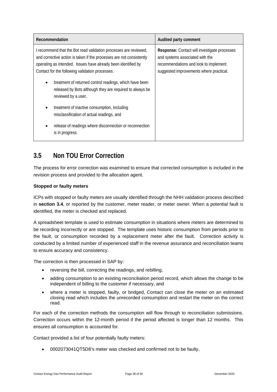| Recommendation                                                                                                                                                                                                                                                                                                                                                                                                                                                                                                                                                                                                  | Audited party comment                                                                                                                                               |  |
|-----------------------------------------------------------------------------------------------------------------------------------------------------------------------------------------------------------------------------------------------------------------------------------------------------------------------------------------------------------------------------------------------------------------------------------------------------------------------------------------------------------------------------------------------------------------------------------------------------------------|---------------------------------------------------------------------------------------------------------------------------------------------------------------------|--|
| I recommend that the Bot read validation processes are reviewed,<br>and corrective action is taken if the processes are not consistently<br>operating as intended. Issues have already been identified by<br>Contact for the following validation processes:<br>treatment of returned control readings, which have been<br>$\bullet$<br>released by Bots although they are required to always be<br>reviewed by a user,<br>treatment of inactive consumption, including<br>$\bullet$<br>misclassification of actual readings, and<br>release of readings where disconnection or reconnection<br>is in progress. | Response: Contact will investigate processes<br>and systems associated with the<br>recommendations and look to implement<br>suggested improvements where practical. |  |

### <span id="page-37-0"></span>**3.5 Non TOU Error Correction**

The process for error correction was examined to ensure that corrected consumption is included in the revision process and provided to the allocation agent.

#### **Stopped or faulty meters**

ICPs with stopped or faulty meters are usually identified through the NHH validation process described in **section 3.4**, or reported by the customer, meter reader, or meter owner. When a potential fault is identified, the meter is checked and replaced.

A spreadsheet template is used to estimate consumption in situations where meters are determined to be recording incorrectly or are stopped. The template uses historic consumption from periods prior to the fault, or consumption recorded by a replacement meter after the fault. Correction activity is conducted by a limited number of experienced staff in the revenue assurance and reconciliation teams to ensure accuracy and consistency.

The correction is then processed in SAP by:

- reversing the bill, correcting the readings, and rebilling,
- adding consumption to an existing reconciliation period record, which allows the change to be independent of billing to the customer if necessary, and
- where a meter is stopped, faulty, or bridged, Contact can close the meter on an estimated closing read which includes the unrecorded consumption and restart the meter on the correct read.

For each of the correction methods the consumption will flow through to reconciliation submissions. Correction occurs within the 12-month period if the period affected is longer than 12 months. This ensures all consumption is accounted for.

Contact provided a list of four potentially faulty meters:

• 0002073041QT5D8's meter was checked and confirmed not to be faulty,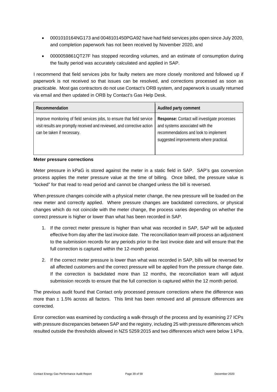- 0001010164NG173 and 0048101450PGA92 have had field services jobs open since July 2020, and completion paperwork has not been received by November 2020, and
- 0000059861QT27F has stopped recording volumes, and an estimate of consumption during the faulty period was accurately calculated and applied in SAP.

I recommend that field services jobs for faulty meters are more closely monitored and followed up if paperwork is not received so that issues can be resolved, and corrections processed as soon as practicable. Most gas contractors do not use Contact's ORB system, and paperwork is usually returned via email and then updated in ORB by Contact's Gas Help Desk.

| Recommendation                                                                                                                                                                   | Audited party comment                                                                                                                                               |
|----------------------------------------------------------------------------------------------------------------------------------------------------------------------------------|---------------------------------------------------------------------------------------------------------------------------------------------------------------------|
| Improve monitoring of field services jobs, to ensure that field service<br>visit results are promptly received and reviewed, and corrective action<br>can be taken if necessary. | Response: Contact will investigate processes<br>and systems associated with the<br>recommendations and look to implement<br>suggested improvements where practical. |

#### **Meter pressure corrections**

Meter pressure in kPaG is stored against the meter in a static field in SAP. SAP's gas conversion process applies the meter pressure value at the time of billing. Once billed, the pressure value is "locked" for that read to read period and cannot be changed unless the bill is reversed.

When pressure changes coincide with a physical meter change, the new pressure will be loaded on the new meter and correctly applied. Where pressure changes are backdated corrections, or physical changes which do not coincide with the meter change, the process varies depending on whether the correct pressure is higher or lower than what has been recorded in SAP.

- 1. If the correct meter pressure is higher than what was recorded in SAP, SAP will be adjusted effective from day after the last invoice date. The reconciliation team will process an adjustment to the submission records for any periods prior to the last invoice date and will ensure that the full correction is captured within the 12-month period.
- 2. If the correct meter pressure is lower than what was recorded in SAP, bills will be reversed for all affected customers and the correct pressure will be applied from the pressure change date. If the correction is backdated more than 12 months, the reconciliation team will adjust submission records to ensure that the full correction is captured within the 12 month period.

The previous audit found that Contact only processed pressure corrections where the difference was more than  $\pm$  1.5% across all factors. This limit has been removed and all pressure differences are corrected.

Error correction was examined by conducting a walk-through of the process and by examining 27 ICPs with pressure discrepancies between SAP and the registry, including 25 with pressure differences which resulted outside the thresholds allowed in NZS 5259:2015 and two differences which were below 1 kPa.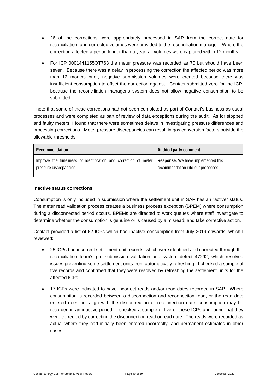- 26 of the corrections were appropriately processed in SAP from the correct date for reconciliation, and corrected volumes were provided to the reconciliation manager. Where the correction affected a period longer than a year, all volumes were captured within 12 months.
- For ICP 0001441155QT763 the meter pressure was recorded as 70 but should have been seven. Because there was a delay in processing the correction the affected period was more than 12 months prior, negative submission volumes were created because there was insufficient consumption to offset the correction against. Contact submitted zero for the ICP, because the reconciliation manager's system does not allow negative consumption to be submitted.

I note that some of these corrections had not been completed as part of Contact's business as usual processes and were completed as part of review of data exceptions during the audit. As for stopped and faulty meters, I found that there were sometimes delays in investigating pressure differences and processing corrections. Meter pressure discrepancies can result in gas conversion factors outside the allowable thresholds.

| <b>Recommendation</b>                                                                                                            | Audited party comment             |
|----------------------------------------------------------------------------------------------------------------------------------|-----------------------------------|
| Improve the timeliness of identification and correction of meter   Response: We have implemented this<br>pressure discrepancies. | recommendation into our processes |

#### **Inactive status corrections**

Consumption is only included in submission where the settlement unit in SAP has an "active" status. The meter read validation process creates a business process exception (BPEM) where consumption during a disconnected period occurs. BPEMs are directed to work queues where staff investigate to determine whether the consumption is genuine or is caused by a misread; and take corrective action.

Contact provided a list of 62 ICPs which had inactive consumption from July 2019 onwards, which I reviewed:

- 25 ICPs had incorrect settlement unit records, which were identified and corrected through the reconciliation team's pre submission validation and system defect 47292, which resolved issues preventing some settlement units from automatically refreshing. I checked a sample of five records and confirmed that they were resolved by refreshing the settlement units for the affected ICPs.
- 17 ICPs were indicated to have incorrect reads and/or read dates recorded in SAP. Where consumption is recorded between a disconnection and reconnection read, or the read date entered does not align with the disconnection or reconnection date, consumption may be recorded in an inactive period. I checked a sample of five of these ICPs and found that they were corrected by correcting the disconnection read or read date. The reads were recorded as actual where they had initially been entered incorrectly, and permanent estimates in other cases.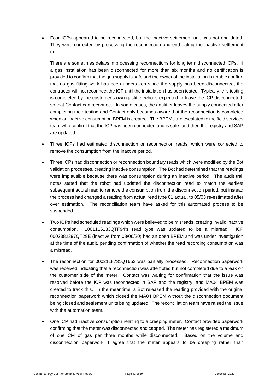• Four ICPs appeared to be reconnected, but the inactive settlement unit was not end dated. They were corrected by processing the reconnection and end dating the inactive settlement unit.

There are sometimes delays in processing reconnections for long term disconnected ICPs. If a gas installation has been disconnected for more than six months and no certification is provided to confirm that the gas supply is safe and the owner of the installation is unable confirm that no gas fitting work has been undertaken since the supply has been disconnected, the contractor will not reconnect the ICP until the installation has been tested. Typically, this testing is completed by the customer's own gasfitter who is expected to leave the ICP disconnected, so that Contact can reconnect. In some cases, the gasfitter leaves the supply connected after completing their testing and Contact only becomes aware that the reconnection is completed when an inactive consumption BPEM is created. The BPEMs are escalated to the field services team who confirm that the ICP has been connected and is safe, and then the registry and SAP are updated.

- Three ICPs had estimated disconnection or reconnection reads, which were corrected to remove the consumption from the inactive period.
- Three ICPs had disconnection or reconnection boundary reads which were modified by the Bot validation processes, creating inactive consumption. The Bot had determined that the readings were implausible because there was consumption during an inactive period. The audit trail notes stated that the robot had updated the disconnection read to match the earliest subsequent actual read to remove the consumption from the disconnection period, but instead the process had changed a reading from actual read type 01 actual, to 05/03 re-estimated after over estimation. The reconciliation team have asked for this automated process to be suspended.
- Two ICPs had scheduled readings which were believed to be misreads, creating invalid inactive consumption. 1001116133QTF94's read type was updated to be a misread. ICP 0002382397QT29E (inactive from 08/06/20) had an open BPEM and was under investigation at the time of the audit, pending confirmation of whether the read recording consumption was a misread.
- The reconnection for 0002118731QT653 was partially processed. Reconnection paperwork was received indicating that a reconnection was attempted but not completed due to a leak on the customer side of the meter. Contact was waiting for confirmation that the issue was resolved before the ICP was reconnected in SAP and the registry, and MA04 BPEM was created to track this. In the meantime, a Bot released the reading provided with the original reconnection paperwork which closed the MA04 BPEM without the disconnection document being closed and settlement units being updated. The reconciliation team have raised the issue with the automation team.
- One ICP had inactive consumption relating to a creeping meter. Contact provided paperwork confirming that the meter was disconnected and capped. The meter has registered a maximum of one CM of gas per three months while disconnected. Based on the volume and disconnection paperwork, I agree that the meter appears to be creeping rather than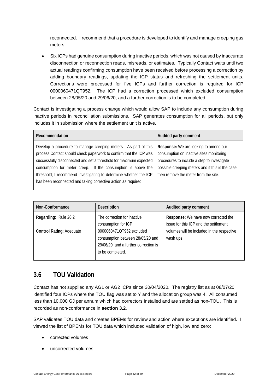reconnected. I recommend that a procedure is developed to identify and manage creeping gas meters.

• Six ICPs had genuine consumption during inactive periods, which was not caused by inaccurate disconnection or reconnection reads, misreads, or estimates. Typically Contact waits until two actual readings confirming consumption have been received before processing a correction by adding boundary readings, updating the ICP status and refreshing the settlement units. Corrections were processed for five ICPs and further correction is required for ICP 0000060471QT952. The ICP had a correction processed which excluded consumption between 28/05/20 and 29/06/20, and a further correction is to be completed.

Contact is investigating a process change which would allow SAP to include any consumption during inactive periods in reconciliation submissions. SAP generates consumption for all periods, but only includes it in submission where the settlement unit is active.

| Recommendation                                                                                                                                                                                                                                                                                                                                                                                                    | Audited party comment                                                                                                                                                                                                        |
|-------------------------------------------------------------------------------------------------------------------------------------------------------------------------------------------------------------------------------------------------------------------------------------------------------------------------------------------------------------------------------------------------------------------|------------------------------------------------------------------------------------------------------------------------------------------------------------------------------------------------------------------------------|
| Develop a procedure to manage creeping meters. As part of this<br>process Contact should check paperwork to confirm that the ICP was<br>successfully disconnected and set a threshold for maximum expected<br>consumption for meter creep. If the consumption is above the<br>threshold, I recommend investigating to determine whether the ICP<br>has been reconnected and taking corrective action as required. | Response: We are looking to amend our<br>consumption on inactive sites monitoring<br>procedures to include a step to investigate<br>possible creeping meters and if this is the case<br>then remove the meter from the site. |

| Non-Conformance                 | Description                                                                                                               | Audited party comment                                                        |
|---------------------------------|---------------------------------------------------------------------------------------------------------------------------|------------------------------------------------------------------------------|
| Regarding: Rule 26.2            | The correction for inactive<br>consumption for ICP                                                                        | Response: We have now corrected the<br>issue for this ICP and the settlement |
| <b>Control Rating: Adequate</b> | 0000060471QT952 excluded<br>consumption between 28/05/20 and<br>29/06/20, and a further correction is<br>to be completed. | volumes will be included in the respective<br>wash ups                       |

### <span id="page-41-0"></span>**3.6 TOU Validation**

Contact has not supplied any AG1 or AG2 ICPs since 30/04/2020. The registry list as at 08/07/20 identified four ICPs where the TOU flag was set to Y and the allocation group was 4. All consumed less than 10,000 GJ per annum which had correctors installed and are settled as non-TOU. This is recorded as non-conformance in **section 3.2**.

SAP validates TOU data and creates BPEMs for review and action where exceptions are identified. I viewed the list of BPEMs for TOU data which included validation of high, low and zero:

- corrected volumes
- uncorrected volumes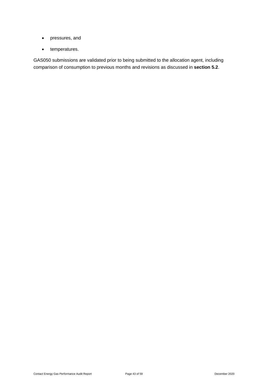- pressures, and
- temperatures.

GAS050 submissions are validated prior to being submitted to the allocation agent, including comparison of consumption to previous months and revisions as discussed in **section 5.2**.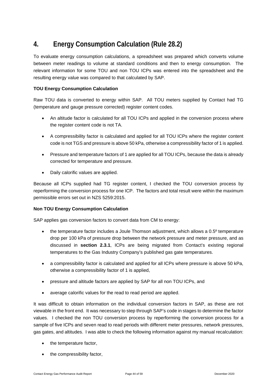# <span id="page-43-0"></span>**4. Energy Consumption Calculation (Rule 28.2)**

To evaluate energy consumption calculations, a spreadsheet was prepared which converts volume between meter readings to volume at standard conditions and then to energy consumption. The relevant information for some TOU and non TOU ICPs was entered into the spreadsheet and the resulting energy value was compared to that calculated by SAP.

#### **TOU Energy Consumption Calculation**

Raw TOU data is converted to energy within SAP. All TOU meters supplied by Contact had TG (temperature and gauge pressure corrected) register content codes.

- An altitude factor is calculated for all TOU ICPs and applied in the conversion process where the register content code is not TA.
- A compressibility factor is calculated and applied for all TOU ICPs where the register content code is not TGS and pressure is above 50 kPa, otherwise a compressibility factor of 1 is applied.
- Pressure and temperature factors of 1 are applied for all TOU ICPs, because the data is already corrected for temperature and pressure.
- Daily calorific values are applied.

Because all ICPs supplied had TG register content, I checked the TOU conversion process by reperforming the conversion process for one ICP. The factors and total result were within the maximum permissible errors set out in NZS 5259:2015.

#### **Non TOU Energy Consumption Calculation**

SAP applies gas conversion factors to convert data from CM to energy:

- the temperature factor includes a Joule Thomson adjustment, which allows a 0.5<sup>°</sup> temperature drop per 100 kPa of pressure drop between the network pressure and meter pressure, and as discussed in **section 2.3.1**, ICPs are being migrated from Contact's existing regional temperatures to the Gas Industry Company's published gas gate temperatures.
- a compressibility factor is calculated and applied for all ICPs where pressure is above 50 kPa, otherwise a compressibility factor of 1 is applied,
- pressure and altitude factors are applied by SAP for all non TOU ICPs, and
- average calorific values for the read to read period are applied.

It was difficult to obtain information on the individual conversion factors in SAP, as these are not viewable in the front end. It was necessary to step through SAP's code in stages to determine the factor values. I checked the non TOU conversion process by reperforming the conversion process for a sample of five ICPs and seven read to read periods with different meter pressures, network pressures, gas gates, and altitudes. I was able to check the following information against my manual recalculation:

- the temperature factor,
- the compressibility factor,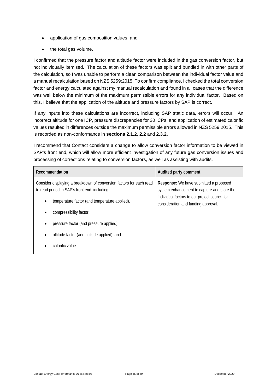- application of gas composition values, and
- the total gas volume.

I confirmed that the pressure factor and altitude factor were included in the gas conversion factor, but not individually itemised. The calculation of these factors was split and bundled in with other parts of the calculation, so I was unable to perform a clean comparison between the individual factor value and a manual recalculation based on NZS 5259:2015. To confirm compliance, I checked the total conversion factor and energy calculated against my manual recalculation and found in all cases that the difference was well below the minimum of the maximum permissible errors for any individual factor. Based on this, I believe that the application of the altitude and pressure factors by SAP is correct.

If any inputs into these calculations are incorrect, including SAP static data, errors will occur. An incorrect altitude for one ICP, pressure discrepancies for 30 ICPs, and application of estimated calorific values resulted in differences outside the maximum permissible errors allowed in NZS 5259:2015. This is recorded as non-conformance in **sections 2.1.2**, **2.2** and **2.3.2.**

I recommend that Contact considers a change to allow conversion factor information to be viewed in SAP's front end, which will allow more efficient investigation of any future gas conversion issues and processing of corrections relating to conversion factors, as well as assisting with audits.

| Recommendation                                                                                                       | Audited party comment                                                                        |
|----------------------------------------------------------------------------------------------------------------------|----------------------------------------------------------------------------------------------|
| Consider displaying a breakdown of conversion factors for each read<br>to read period in SAP's front end, including: | <b>Response:</b> We have submitted a proposed<br>system enhancement to capture and store the |
| temperature factor (and temperature applied),                                                                        | individual factors to our project council for<br>consideration and funding approval.         |
| compressibility factor,                                                                                              |                                                                                              |
| pressure factor (and pressure applied),                                                                              |                                                                                              |
| altitude factor (and altitude applied), and                                                                          |                                                                                              |
| calorific value.                                                                                                     |                                                                                              |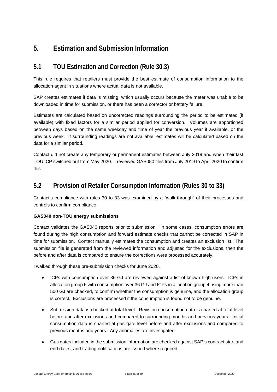# <span id="page-45-0"></span>**5. Estimation and Submission Information**

### <span id="page-45-1"></span>**5.1 TOU Estimation and Correction (Rule 30.3)**

This rule requires that retailers must provide the best estimate of consumption information to the allocation agent in situations where actual data is not available.

SAP creates estimates if data is missing, which usually occurs because the meter was unable to be downloaded in time for submission, or there has been a corrector or battery failure.

Estimates are calculated based on uncorrected readings surrounding the period to be estimated (if available) with fixed factors for a similar period applied for conversion. Volumes are apportioned between days based on the same weekday and time of year the previous year if available, or the previous week. If surrounding readings are not available, estimates will be calculated based on the data for a similar period.

Contact did not create any temporary or permanent estimates between July 2019 and when their last TOU ICP switched out from May 2020. I reviewed GAS050 files from July 2019 to April 2020 to confirm this.

### <span id="page-45-2"></span>**5.2 Provision of Retailer Consumption Information (Rules 30 to 33)**

Contact's compliance with rules 30 to 33 was examined by a "walk-through" of their processes and controls to confirm compliance.

#### **GAS040 non-TOU energy submissions**

Contact validates the GAS040 reports prior to submission. In some cases, consumption errors are found during the high consumption and forward estimate checks that cannot be corrected in SAP in time for submission. Contact manually estimates the consumption and creates an exclusion list. The submission file is generated from the reviewed information and adjusted for the exclusions, then the before and after data is compared to ensure the corrections were processed accurately.

I walked through these pre-submission checks for June 2020.

- ICPs with consumption over 36 GJ are reviewed against a list of known high users. ICPs in allocation group 6 with consumption over 36 GJ and ICPs in allocation group 4 using more than 500 GJ are checked, to confirm whether the consumption is genuine, and the allocation group is correct. Exclusions are processed if the consumption is found not to be genuine.
- Submission data is checked at total level. Revision consumption data is charted at total level before and after exclusions and compared to surrounding months and previous years. Initial consumption data is charted at gas gate level before and after exclusions and compared to previous months and years. Any anomalies are investigated.
- Gas gates included in the submission information are checked against SAP's contract start and end dates, and trading notifications are issued where required.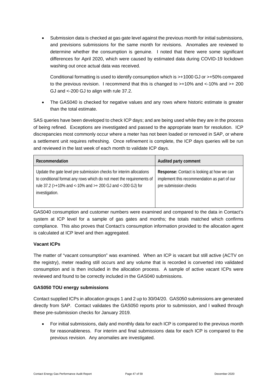• Submission data is checked at gas gate level against the previous month for initial submissions, and previsions submissions for the same month for revisions. Anomalies are reviewed to determine whether the consumption is genuine. I noted that there were some significant differences for April 2020, which were caused by estimated data during COVID-19 lockdown washing out once actual data was received.

Conditional formatting is used to identify consumption which is >+1000 GJ or >+50% compared to the previous revision. I recommend that this is changed to >+10% and <-10% and >+ 200 GJ and <-200 GJ to align with rule 37.2.

• The GAS040 is checked for negative values and any rows where historic estimate is greater than the total estimate.

SAS queries have been developed to check ICP days; and are being used while they are in the process of being refined. Exceptions are investigated and passed to the appropriate team for resolution. ICP discrepancies most commonly occur where a meter has not been loaded or removed in SAP, or where a settlement unit requires refreshing. Once refinement is complete, the ICP days queries will be run and reviewed in the last week of each month to validate ICP days.

| Recommendation                                                                                                                                                                                                              | Audited party comment                                                                                               |
|-----------------------------------------------------------------------------------------------------------------------------------------------------------------------------------------------------------------------------|---------------------------------------------------------------------------------------------------------------------|
| Update the gate level pre submission checks for interim allocations<br>to conditional format any rows which do not meet the requirements of<br>rule 37.2 (>+10% and <-10% and >+ 200 GJ and <-200 GJ) for<br>investigation. | Response: Contact is looking at how we can<br>implement this recommendation as part of our<br>pre submission checks |

GAS040 consumption and customer numbers were examined and compared to the data in Contact's system at ICP level for a sample of gas gates and months; the totals matched which confirms compliance. This also proves that Contact's consumption information provided to the allocation agent is calculated at ICP level and then aggregated.

#### **Vacant ICPs**

The matter of "vacant consumption" was examined. When an ICP is vacant but still active (ACTV on the registry), meter reading still occurs and any volume that is recorded is converted into validated consumption and is then included in the allocation process. A sample of active vacant ICPs were reviewed and found to be correctly included in the GAS040 submissions.

#### **GAS050 TOU energy submissions**

Contact supplied ICPs in allocation groups 1 and 2 up to 30/04/20. GAS050 submissions are generated directly from SAP. Contact validates the GAS050 reports prior to submission, and I walked through these pre-submission checks for January 2019.

• For initial submissions, daily and monthly data for each ICP is compared to the previous month for reasonableness. For interim and final submissions data for each ICP is compared to the previous revision. Any anomalies are investigated.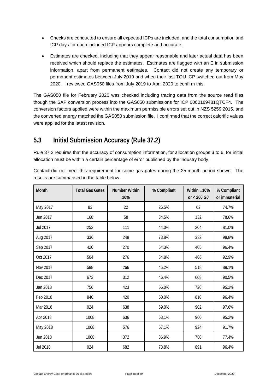- Checks are conducted to ensure all expected ICPs are included, and the total consumption and ICP days for each included ICP appears complete and accurate.
- Estimates are checked, including that they appear reasonable and later actual data has been received which should replace the estimates. Estimates are flagged with an E in submission information, apart from permanent estimates. Contact did not create any temporary or permanent estimates between July 2019 and when their last TOU ICP switched out from May 2020. I reviewed GAS050 files from July 2019 to April 2020 to confirm this.

The GAS050 file for February 2020 was checked including tracing data from the source read files though the SAP conversion process into the GAS050 submissions for ICP 0000189481QTCF4. The conversion factors applied were within the maximum permissible errors set out in NZS 5259:2015, and the converted energy matched the GAS050 submission file. I confirmed that the correct calorific values were applied for the latest revision.

### <span id="page-47-0"></span>**5.3 Initial Submission Accuracy (Rule 37.2)**

Rule 37.2 requires that the accuracy of consumption information, for allocation groups 3 to 6, for initial allocation must be within a certain percentage of error published by the industry body.

| Month    | <b>Total Gas Gates</b> | <b>Number Within</b><br>10% | % Compliant | Within $\pm 10\%$<br>or $< 200$ GJ | % Compliant<br>or immaterial |
|----------|------------------------|-----------------------------|-------------|------------------------------------|------------------------------|
| May 2017 | 83                     | 22                          | 26.5%       | 62                                 | 74.7%                        |
| Jun 2017 | 168                    | 58                          | 34.5%       | 132                                | 78.6%                        |
| Jul 2017 | 252                    | 111                         | 44.0%       | 204                                | 81.0%                        |
| Aug 2017 | 336                    | 248                         | 73.8%       | 332                                | 98.8%                        |
| Sep 2017 | 420                    | 270                         | 64.3%       | 405                                | 96.4%                        |
| Oct 2017 | 504                    | 276                         | 54.8%       | 468                                | 92.9%                        |
| Nov 2017 | 588                    | 266                         | 45.2%       | 518                                | 88.1%                        |
| Dec 2017 | 672                    | 312                         | 46.4%       | 608                                | 90.5%                        |
| Jan 2018 | 756                    | 423                         | 56.0%       | 720                                | 95.2%                        |
| Feb 2018 | 840                    | 420                         | 50.0%       | 810                                | 96.4%                        |
| Mar 2018 | 924                    | 638                         | 69.0%       | 902                                | 97.6%                        |
| Apr 2018 | 1008                   | 636                         | 63.1%       | 960                                | 95.2%                        |
| May 2018 | 1008                   | 576                         | 57.1%       | 924                                | 91.7%                        |
| Jun 2018 | 1008                   | 372                         | 36.9%       | 780                                | 77.4%                        |
| Jul 2018 | 924                    | 682                         | 73.8%       | 891                                | 96.4%                        |

Contact did not meet this requirement for some gas gates during the 25-month period shown. The results are summarised in the table below.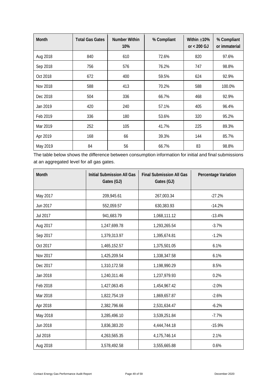| <b>Month</b> | <b>Total Gas Gates</b> | Number Within<br>10% | % Compliant | Within $\pm 10\%$<br>or $< 200$ GJ | % Compliant<br>or immaterial |
|--------------|------------------------|----------------------|-------------|------------------------------------|------------------------------|
| Aug 2018     | 840                    | 610                  | 72.6%       | 820                                | 97.6%                        |
| Sep 2018     | 756                    | 576                  | 76.2%       | 747                                | 98.8%                        |
| Oct 2018     | 672                    | 400                  | 59.5%       | 624                                | 92.9%                        |
| Nov 2018     | 588                    | 413                  | 70.2%       | 588                                | 100.0%                       |
| Dec 2018     | 504                    | 336                  | 66.7%       | 468                                | 92.9%                        |
| Jan 2019     | 420                    | 240                  | 57.1%       | 405                                | 96.4%                        |
| Feb 2019     | 336                    | 180                  | 53.6%       | 320                                | 95.2%                        |
| Mar 2019     | 252                    | 105                  | 41.7%       | 225                                | 89.3%                        |
| Apr 2019     | 168                    | 66                   | 39.3%       | 144                                | 85.7%                        |
| May 2019     | 84                     | 56                   | 66.7%       | 83                                 | 98.8%                        |

The table below shows the difference between consumption information for initial and final submissions at an aggregated level for all gas gates.

| <b>Month</b> | <b>Initial Submission All Gas</b><br>Gates (GJ) | <b>Final Submission All Gas</b><br>Gates (GJ) | <b>Percentage Variation</b> |
|--------------|-------------------------------------------------|-----------------------------------------------|-----------------------------|
| May 2017     | 209,945.61                                      | 267,003.34                                    | $-27.2%$                    |
| Jun 2017     | 552,059.57                                      | 630,383.93                                    | $-14.2%$                    |
| Jul 2017     | 941,683.79                                      | 1,068,111.12                                  | $-13.4%$                    |
| Aug 2017     | 1,247,699.78                                    | 1,293,265.54                                  | $-3.7%$                     |
| Sep 2017     | 1,379,313.97                                    | 1,395,674.81                                  | $-1.2%$                     |
| Oct 2017     | 1,465,152.57                                    | 1,375,501.05                                  | 6.1%                        |
| Nov 2017     | 1,425,209.54                                    | 1,338,347.58                                  | 6.1%                        |
| Dec 2017     | 1,310,172.58                                    | 1,198,990.29                                  | 8.5%                        |
| Jan 2018     | 1,240,311.46                                    | 1,237,979.93                                  | 0.2%                        |
| Feb 2018     | 1,427,063.45                                    | 1,454,967.42                                  | $-2.0%$                     |
| Mar 2018     | 1,822,754.19                                    | 1,869,657.87                                  | $-2.6%$                     |
| Apr 2018     | 2,382,796.66                                    | 2,531,634.47                                  | $-6.2%$                     |
| May 2018     | 3,285,496.10                                    | 3,539,251.84                                  | $-7.7%$                     |
| Jun 2018     | 3,836,383.20                                    | 4,444,744.18                                  | $-15.9%$                    |
| Jul 2018     | 4,263,565.35                                    | 4,175,746.14                                  | 2.1%                        |
| Aug 2018     | 3,578,492.58                                    | 3,555,665.88                                  | 0.6%                        |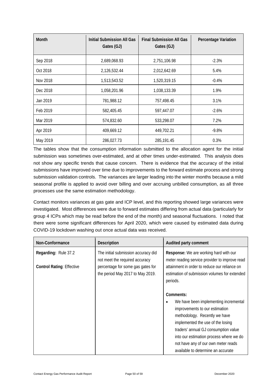| <b>Month</b> | <b>Initial Submission All Gas</b><br>Gates (GJ) | <b>Final Submission All Gas</b><br>Gates (GJ) | <b>Percentage Variation</b> |
|--------------|-------------------------------------------------|-----------------------------------------------|-----------------------------|
| Sep 2018     | 2,689,068.93                                    | 2,751,106.98                                  | $-2.3%$                     |
| Oct 2018     | 2,126,532.44                                    | 2,012,642.69                                  | 5.4%                        |
| Nov 2018     | 1,513,543.52                                    | 1,520,319.15                                  | $-0.4%$                     |
| Dec 2018     | 1,058,201.96                                    | 1,038,133.39                                  | 1.9%                        |
| Jan 2019     | 781,988.12                                      | 757,498.45                                    | 3.1%                        |
| Feb 2019     | 582,405.45                                      | 597,447.07                                    | $-2.6%$                     |
| Mar 2019     | 574,832.60                                      | 533,298.07                                    | 7.2%                        |
| Apr 2019     | 409,669.12                                      | 449,702.21                                    | $-9.8%$                     |
| May 2019     | 286,027.73                                      | 285,191.45                                    | 0.3%                        |

The tables show that the consumption information submitted to the allocation agent for the initial submission was sometimes over-estimated, and at other times under-estimated. This analysis does not show any specific trends that cause concern. There is evidence that the accuracy of the initial submissions have improved over time due to improvements to the forward estimate process and strong submission validation controls. The variances are larger leading into the winter months because a mild seasonal profile is applied to avoid over billing and over accruing unbilled consumption, as all three processes use the same estimation methodology.

Contact monitors variances at gas gate and ICP level, and this reporting showed large variances were investigated. Most differences were due to forward estimates differing from actual data (particularly for group 4 ICPs which may be read before the end of the month) and seasonal fluctuations. I noted that there were some significant differences for April 2020, which were caused by estimated data during COVID-19 lockdown washing out once actual data was received.

| Non-Conformance                  | <b>Description</b>                                                    | Audited party comment                                                                                                                                                                                                                                                                                         |
|----------------------------------|-----------------------------------------------------------------------|---------------------------------------------------------------------------------------------------------------------------------------------------------------------------------------------------------------------------------------------------------------------------------------------------------------|
| Regarding: Rule 37.2             | The initial submission accuracy did<br>not meet the required accuracy | Response: We are working hard with our<br>meter reading service provider to improve read                                                                                                                                                                                                                      |
| <b>Control Rating: Effective</b> | percentage for some gas gates for<br>the period May 2017 to May 2019. | attainment in order to reduce our reliance on<br>estimation of submission volumes for extended<br>periods.                                                                                                                                                                                                    |
|                                  |                                                                       | Comments:                                                                                                                                                                                                                                                                                                     |
|                                  |                                                                       | We have been implementing incremental<br>improvements to our estimation<br>methodology. Recently we have<br>implemented the use of the losing<br>traders' annual GJ consumption value<br>into our estimation process where we do<br>not have any of our own meter reads<br>available to determine an accurate |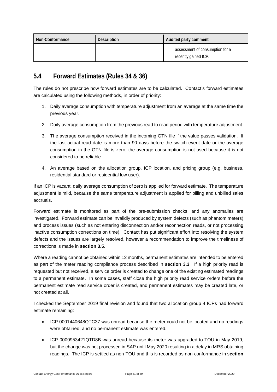| Non-Conformance | <b>Description</b> | Audited party comment                                   |
|-----------------|--------------------|---------------------------------------------------------|
|                 |                    | assessment of consumption for a<br>recently gained ICP. |

### <span id="page-50-0"></span>**5.4 Forward Estimates (Rules 34 & 36)**

The rules do not prescribe how forward estimates are to be calculated. Contact's forward estimates are calculated using the following methods, in order of priority:

- 1. Daily average consumption with temperature adjustment from an average at the same time the previous year.
- 2. Daily average consumption from the previous read to read period with temperature adjustment.
- 3. The average consumption received in the incoming GTN file if the value passes validation. If the last actual read date is more than 90 days before the switch event date or the average consumption in the GTN file is zero, the average consumption is not used because it is not considered to be reliable.
- 4. An average based on the allocation group, ICP location, and pricing group (e.g. business, residential standard or residential low user).

If an ICP is vacant, daily average consumption of zero is applied for forward estimate. The temperature adjustment is mild, because the same temperature adjustment is applied for billing and unbilled sales accruals.

Forward estimate is monitored as part of the pre-submission checks, and any anomalies are investigated. Forward estimate can be invalidly produced by system defects (such as phantom meters) and process issues (such as not entering disconnection and/or reconnection reads, or not processing inactive consumption corrections on time). Contact has put significant effort into resolving the system defects and the issues are largely resolved, however a recommendation to improve the timeliness of corrections is made in **section 3.5**.

Where a reading cannot be obtained within 12 months, permanent estimates are intended to be entered as part of the meter reading compliance process described in **section 3.3**. If a high priority read is requested but not received, a service order is created to change one of the existing estimated readings to a permanent estimate. In some cases, staff close the high priority read service orders before the permanent estimate read service order is created, and permanent estimates may be created late, or not created at all.

I checked the September 2019 final revision and found that two allocation group 4 ICPs had forward estimate remaining:

- ICP 0001440648QTC37 was unread because the meter could not be located and no readings were obtained, and no permanent estimate was entered.
- ICP 0000953421QTD8B was unread because its meter was upgraded to TOU in May 2019, but the change was not processed in SAP until May 2020 resulting in a delay in MRS obtaining readings. The ICP is settled as non-TOU and this is recorded as non-conformance in s**ection**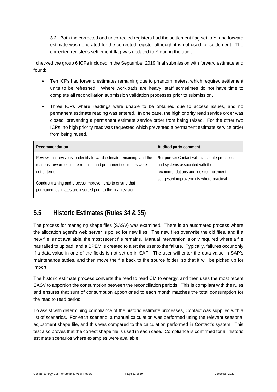**3.2**. Both the corrected and uncorrected registers had the settlement flag set to Y, and forward estimate was generated for the corrected register although it is not used for settlement. The corrected register's settlement flag was updated to Y during the audit.

I checked the group 6 ICPs included in the September 2019 final submission with forward estimate and found:

- Ten ICPs had forward estimates remaining due to phantom meters, which required settlement units to be refreshed. Where workloads are heavy, staff sometimes do not have time to complete all reconciliation submission validation processes prior to submission.
- Three ICPs where readings were unable to be obtained due to access issues, and no permanent estimate reading was entered. In one case, the high priority read service order was closed, preventing a permanent estimate service order from being raised. For the other two ICPs, no high priority read was requested which prevented a permanent estimate service order from being raised.

| Recommendation                                                                                                                                                                                                                                                                       | Audited party comment                                                                                                                                               |
|--------------------------------------------------------------------------------------------------------------------------------------------------------------------------------------------------------------------------------------------------------------------------------------|---------------------------------------------------------------------------------------------------------------------------------------------------------------------|
| Review final revisions to identify forward estimate remaining, and the<br>reasons forward estimate remains and permanent estimates were<br>not entered.<br>Conduct training and process improvements to ensure that<br>permanent estimates are inserted prior to the final revision. | Response: Contact will investigate processes<br>and systems associated with the<br>recommendations and look to implement<br>suggested improvements where practical. |

### <span id="page-51-0"></span>**5.5 Historic Estimates (Rules 34 & 35)**

The process for managing shape files (SASV) was examined. There is an automated process where the allocation agent's web server is polled for new files. The new files overwrite the old files, and if a new file is not available, the most recent file remains. Manual intervention is only required where a file has failed to upload, and a BPEM is created to alert the user to the failure. Typically, failures occur only if a data value in one of the fields is not set up in SAP. The user will enter the data value in SAP's maintenance tables, and then move the file back to the source folder, so that it will be picked up for import.

The historic estimate process converts the read to read CM to energy, and then uses the most recent SASV to apportion the consumption between the reconciliation periods. This is compliant with the rules and ensures that sum of consumption apportioned to each month matches the total consumption for the read to read period.

To assist with determining compliance of the historic estimate processes, Contact was supplied with a list of scenarios. For each scenario, a manual calculation was performed using the relevant seasonal adjustment shape file, and this was compared to the calculation performed in Contact's system. This test also proves that the correct shape file is used in each case. Compliance is confirmed for all historic estimate scenarios where examples were available.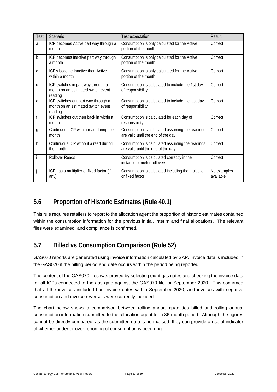| Test           | Scenario                                                                              | <b>Test expectation</b>                                                               | <b>Result</b>            |
|----------------|---------------------------------------------------------------------------------------|---------------------------------------------------------------------------------------|--------------------------|
| a              | ICP becomes Active part way through a<br>month                                        | Consumption is only calculated for the Active<br>portion of the month.                | Correct                  |
| b              | ICP becomes Inactive part way through<br>a month.                                     | Consumption is only calculated for the Active<br>portion of the month.                | Correct                  |
| C              | ICP's become Inactive then Active<br>within a month.                                  | Consumption is only calculated for the Active<br>portion of the month.                | Correct                  |
| d              | ICP switches in part way through a<br>month on an estimated switch event<br>reading   | Consumption is calculated to include the 1st day<br>of responsibility.                | Correct                  |
| e              | ICP switches out part way through a<br>month on an estimated switch event<br>reading. | Consumption is calculated to include the last day<br>of responsibility.               | Correct                  |
|                | ICP switches out then back in within a<br>month                                       | Consumption is calculated for each day of<br>responsibility.                          | Correct                  |
| $\mathfrak{g}$ | Continuous ICP with a read during the<br>month                                        | Consumption is calculated assuming the readings<br>are valid until the end of the day | Correct                  |
| h              | Continuous ICP without a read during<br>the month                                     | Consumption is calculated assuming the readings<br>are valid until the end of the day | Correct                  |
|                | <b>Rollover Reads</b>                                                                 | Consumption is calculated correctly in the<br>instance of meter rollovers.            | Correct                  |
|                | ICP has a multiplier or fixed factor (if<br>any)                                      | Consumption is calculated including the multiplier<br>or fixed factor.                | No examples<br>available |

# <span id="page-52-0"></span>**5.6 Proportion of Historic Estimates (Rule 40.1)**

This rule requires retailers to report to the allocation agent the proportion of historic estimates contained within the consumption information for the previous initial, interim and final allocations. The relevant files were examined, and compliance is confirmed.

# <span id="page-52-1"></span>**5.7 Billed vs Consumption Comparison (Rule 52)**

GAS070 reports are generated using invoice information calculated by SAP. Invoice data is included in the GAS070 if the billing period end date occurs within the period being reported.

The content of the GAS070 files was proved by selecting eight gas gates and checking the invoice data for all ICPs connected to the gas gate against the GAS070 file for September 2020. This confirmed that all the invoices included had invoice dates within September 2020, and invoices with negative consumption and invoice reversals were correctly included.

The chart below shows a comparison between rolling annual quantities billed and rolling annual consumption information submitted to the allocation agent for a 36-month period. Although the figures cannot be directly compared, as the submitted data is normalised, they can provide a useful indicator of whether under or over reporting of consumption is occurring.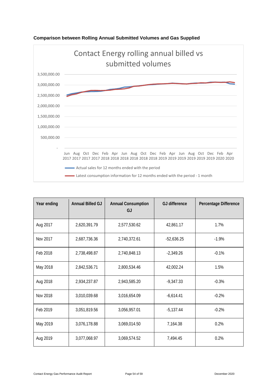

#### **Comparison between Rolling Annual Submitted Volumes and Gas Supplied**

| Year ending | <b>Annual Billed GJ</b> | <b>Annual Consumption</b><br>GJ | <b>GJ</b> difference | Percentage Difference |
|-------------|-------------------------|---------------------------------|----------------------|-----------------------|
| Aug 2017    | 2,620,391.79            | 2,577,530.62                    | 42,861.17            | 1.7%                  |
| Nov 2017    | 2,687,736.36            | 2,740,372.61                    | $-52,636.25$         | $-1.9%$               |
| Feb 2018    | 2,738,498.87            | 2,740,848.13                    | $-2,349.26$          | $-0.1%$               |
| May 2018    | 2,842,536.71            | 2,800,534.46                    | 42,002.24            | 1.5%                  |
| Aug 2018    | 2,934,237.87            | 2,943,585.20                    | $-9,347.33$          | $-0.3%$               |
| Nov 2018    | 3,010,039.68            | 3,016,654.09                    | $-6,614.41$          | $-0.2%$               |
| Feb 2019    | 3,051,819.56            | 3,056,957.01                    | $-5,137.44$          | $-0.2%$               |
| May 2019    | 3,076,178.88            | 3,069,014.50                    | 7,164.38             | 0.2%                  |
| Aug 2019    | 3,077,068.97            | 3,069,574.52                    | 7,494.45             | 0.2%                  |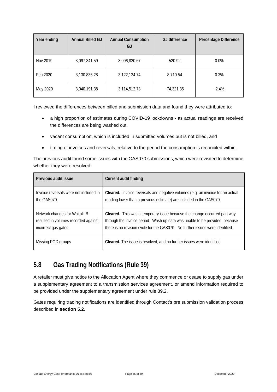| Year ending | Annual Billed GJ | <b>Annual Consumption</b><br>GJ | <b>GJ</b> difference | Percentage Difference |
|-------------|------------------|---------------------------------|----------------------|-----------------------|
| Nov 2019    | 3,097,341.59     | 3,096,820.67                    | 520.92               | $0.0\%$               |
| Feb 2020    | 3,130,835.28     | 3,122,124.74                    | 8,710.54             | 0.3%                  |
| May 2020    | 3,040,191.38     | 3,114,512.73                    | -74,321.35           | $-2.4%$               |

I reviewed the differences between billed and submission data and found they were attributed to:

- a high proportion of estimates during COVID-19 lockdowns as actual readings are received the differences are being washed out,
- vacant consumption, which is included in submitted volumes but is not billed, and
- timing of invoices and reversals, relative to the period the consumption is reconciled within.

The previous audit found some issues with the GAS070 submissions, which were revisited to determine whether they were resolved:

| Previous audit issue                   | <b>Current audit finding</b>                                                   |
|----------------------------------------|--------------------------------------------------------------------------------|
| Invoice reversals were not included in | Cleared. Invoice reversals and negative volumes (e.g. an invoice for an actual |
| the GAS070.                            | reading lower than a previous estimate) are included in the GAS070.            |
| Network changes for Waitoki B          | Cleared. This was a temporary issue because the change occurred part way       |
| resulted in volumes recorded against   | through the invoice period. Wash up data was unable to be provided, because    |
| incorrect gas gates.                   | there is no revision cycle for the GAS070. No further issues were identified.  |
| Missing POD groups                     | Cleared. The issue is resolved, and no further issues were identified.         |

# <span id="page-54-0"></span>**5.8 Gas Trading Notifications (Rule 39)**

A retailer must give notice to the Allocation Agent where they commence or cease to supply gas under a supplementary agreement to a transmission services agreement, or amend information required to be provided under the supplementary agreement under rule 39.2.

Gates requiring trading notifications are identified through Contact's pre submission validation process described in **section 5.2**.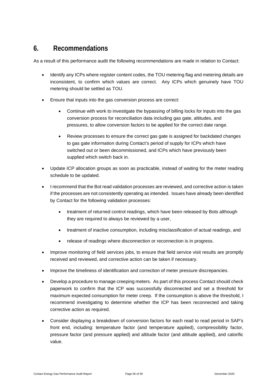### <span id="page-55-0"></span>**6. Recommendations**

As a result of this performance audit the following recommendations are made in relation to Contact:

- Identify any ICPs where register content codes, the TOU metering flag and metering details are inconsistent, to confirm which values are correct. Any ICPs which genuinely have TOU metering should be settled as TOU.
- Ensure that inputs into the gas conversion process are correct:
	- Continue with work to investigate the bypassing of billing locks for inputs into the gas conversion process for reconciliation data including gas gate, altitudes, and pressures, to allow conversion factors to be applied for the correct date range.
	- Review processes to ensure the correct gas gate is assigned for backdated changes to gas gate information during Contact's period of supply for ICPs which have switched out or been decommissioned, and ICPs which have previously been supplied which switch back in.
- Update ICP allocation groups as soon as practicable, instead of waiting for the meter reading schedule to be updated.
- I recommend that the Bot read validation processes are reviewed, and corrective action is taken if the processes are not consistently operating as intended. Issues have already been identified by Contact for the following validation processes:
	- treatment of returned control readings, which have been released by Bots although they are required to always be reviewed by a user,
	- treatment of inactive consumption, including misclassification of actual readings, and
	- release of readings where disconnection or reconnection is in progress.
- Improve monitoring of field services jobs, to ensure that field service visit results are promptly received and reviewed, and corrective action can be taken if necessary.
- Improve the timeliness of identification and correction of meter pressure discrepancies.
- Develop a procedure to manage creeping meters. As part of this process Contact should check paperwork to confirm that the ICP was successfully disconnected and set a threshold for maximum expected consumption for meter creep. If the consumption is above the threshold, I recommend investigating to determine whether the ICP has been reconnected and taking corrective action as required.
- Consider displaying a breakdown of conversion factors for each read to read period in SAP's front end, including: temperature factor (and temperature applied), compressibility factor, pressure factor (and pressure applied) and altitude factor (and altitude applied), and calorific value.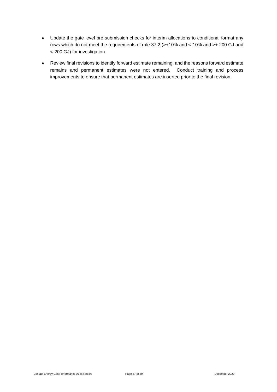- Update the gate level pre submission checks for interim allocations to conditional format any rows which do not meet the requirements of rule 37.2 (>+10% and <-10% and >+ 200 GJ and <-200 GJ) for investigation.
- Review final revisions to identify forward estimate remaining, and the reasons forward estimate remains and permanent estimates were not entered. Conduct training and process improvements to ensure that permanent estimates are inserted prior to the final revision.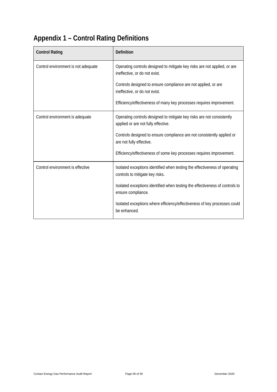# <span id="page-57-0"></span>**Appendix 1 – Control Rating Definitions**

| <b>Control Rating</b>               | Definition                                                                                                    |
|-------------------------------------|---------------------------------------------------------------------------------------------------------------|
| Control environment is not adequate | Operating controls designed to mitigate key risks are not applied, or are<br>ineffective, or do not exist.    |
|                                     | Controls designed to ensure compliance are not applied, or are<br>ineffective, or do not exist.               |
|                                     | Efficiency/effectiveness of many key processes requires improvement.                                          |
| Control environment is adequate     | Operating controls designed to mitigate key risks are not consistently<br>applied or are not fully effective. |
|                                     | Controls designed to ensure compliance are not consistently applied or<br>are not fully effective.            |
|                                     | Efficiency/effectiveness of some key processes requires improvement.                                          |
| Control environment is effective    | Isolated exceptions identified when testing the effectiveness of operating<br>controls to mitigate key risks. |
|                                     | Isolated exceptions identified when testing the effectiveness of controls to<br>ensure compliance.            |
|                                     | Isolated exceptions where efficiency/effectiveness of key processes could<br>be enhanced.                     |